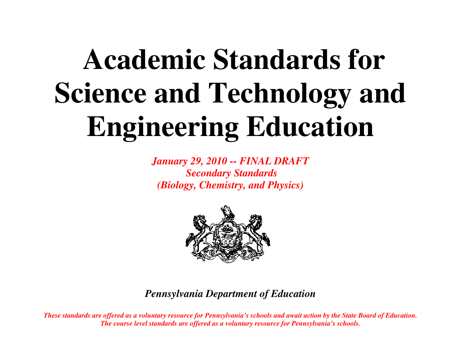# **Academic Standards for Science and Technology and Engineering Education**

*January 29, 2010 -- FINAL DRAFT Secondary Standards (Biology, Chemistry, and Physics)* 



*Pennsylvania Department of Education* 

*These standards are offered as a voluntary resource for Pennsylvania's schools and await action by the State Board of Education. The course level standards are offered as a voluntary resource for Pennsylvania's schools.*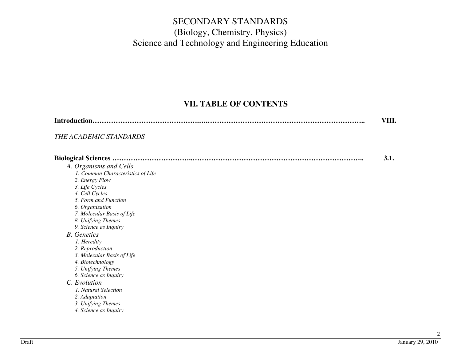### **VII. TABLE OF CONTENTS**

|                                   | VIII. |
|-----------------------------------|-------|
| THE ACADEMIC STANDARDS            |       |
|                                   | 3.1.  |
| A. Organisms and Cells            |       |
| 1. Common Characteristics of Life |       |
| 2. Energy Flow                    |       |
| 3. Life Cycles                    |       |
| 4. Cell Cycles                    |       |
| 5. Form and Function              |       |
| 6. Organization                   |       |
| 7. Molecular Basis of Life        |       |
| 8. Unifying Themes                |       |
| 9. Science as Inquiry             |       |
| <b>B.</b> Genetics                |       |
| 1. Heredity                       |       |
| 2. Reproduction                   |       |
| 3. Molecular Basis of Life        |       |
| 4. Biotechnology                  |       |
| 5. Unifying Themes                |       |
| 6. Science as Inquiry             |       |
| C. Evolution                      |       |
| 1. Natural Selection              |       |
| 2. Adaptation                     |       |
| 3. Unifying Themes                |       |
| 4. Science as Inquiry             |       |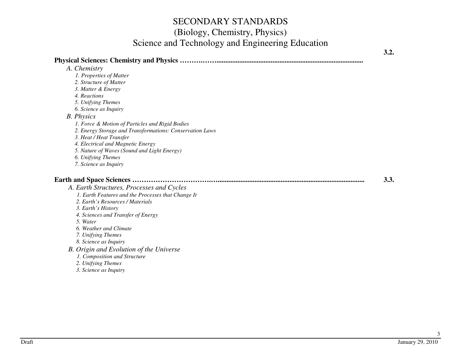*5. Unifying Themes 6. Science as Inquiry* 

 *A. Chemistry* 

### *B. Physics*

 *1. Force & Motion of Particles and Rigid Bodies* 

- *2. Energy Storage and Transformations: Conservation Laws* 
	- *3. Heat / Heat Transfer*

 *1. Properties of Matter 2. Structure of Matter 3. Matter & Energy 4. Reactions* 

- *4. Electrical and Magnetic Energy*
- *5. Nature of Waves (Sound and Light Energy)* 
	- *6. Unifying Themes*
	- *7. Science as Inquiry*

#### **Earth and Space Sciences …………………………….…....................................................................................3.3.**

 *A. Earth Structures, Processes and Cycles* 

- *1. Earth Features and the Processes that Change It*
- *2. Earth's Resources / Materials*
- *3. Earth's History*
- *4. Sciences and Transfer of Energy* 
	- *5. Water*
- *6. Weather and Climate* 
	- *7. Unifying Themes*
	- *8. Science as Inquiry*
	- *B. Origin and Evolution of the Universe* 
		- *1. Composition and Structure*
		- *2. Unifying Themes*
- *3. Science as Inquiry*

**3.2.**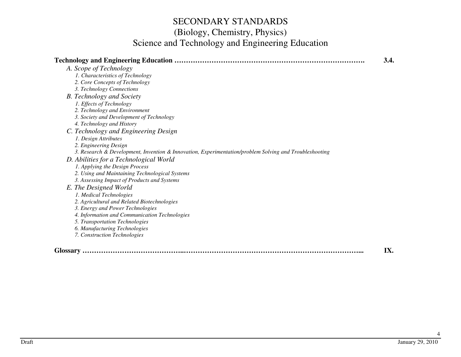|                                                                                                        | 3.4. |
|--------------------------------------------------------------------------------------------------------|------|
| A. Scope of Technology                                                                                 |      |
| 1. Characteristics of Technology                                                                       |      |
| 2. Core Concepts of Technology                                                                         |      |
| 3. Technology Connections                                                                              |      |
| <b>B.</b> Technology and Society                                                                       |      |
| 1. Effects of Technology                                                                               |      |
| 2. Technology and Environment                                                                          |      |
| 3. Society and Development of Technology                                                               |      |
| 4. Technology and History                                                                              |      |
| C. Technology and Engineering Design                                                                   |      |
| 1. Design Attributes                                                                                   |      |
| 2. Engineering Design                                                                                  |      |
| 3. Research & Development, Invention & Innovation, Experimentation/problem Solving and Troubleshooting |      |
| D. Abilities for a Technological World                                                                 |      |
| 1. Applying the Design Process                                                                         |      |
| 2. Using and Maintaining Technological Systems                                                         |      |
| 3. Assessing Impact of Products and Systems                                                            |      |
| E. The Designed World                                                                                  |      |
| 1. Medical Technologies                                                                                |      |
| 2. Agricultural and Related Biotechnologies                                                            |      |
| 3. Energy and Power Technologies                                                                       |      |
| 4. Information and Communication Technologies                                                          |      |
| 5. Transportation Technologies                                                                         |      |
| 6. Manufacturing Technologies                                                                          |      |
| 7. Construction Technologies                                                                           |      |
|                                                                                                        |      |
| <b>Glossary</b>                                                                                        | IX.  |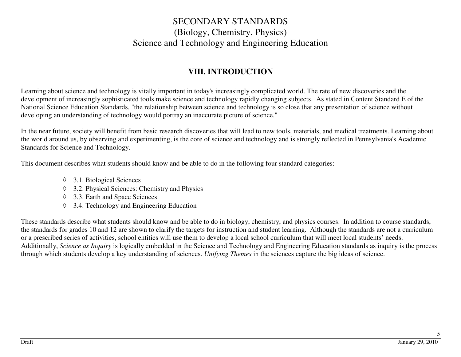### **VIII. INTRODUCTION**

Learning about science and technology is vitally important in today's increasingly complicated world. The rate of new discoveries and the development of increasingly sophisticated tools make science and technology rapidly changing subjects. As stated in Content Standard E of the National Science Education Standards, "the relationship between science and technology is so close that any presentation of science without developing an understanding of technology would portray an inaccurate picture of science."

In the near future, society will benefit from basic research discoveries that will lead to new tools, materials, and medical treatments. Learning about the world around us, by observing and experimenting, is the core of science and technology and is strongly reflected in Pennsylvania's Academic Standards for Science and Technology.

This document describes what students should know and be able to do in the following four standard categories:

- ◊ 3.1. Biological Sciences
- ◊ 3.2. Physical Sciences: Chemistry and Physics
- ◊ 3.3. Earth and Space Sciences
- ◊ 3.4. Technology and Engineering Education

These standards describe what students should know and be able to do in biology, chemistry, and physics courses. In addition to course standards, the standards for grades 10 and 12 are shown to clarify the targets for instruction and student learning. Although the standards are not a curriculum or a prescribed series of activities, school entities will use them to develop a local school curriculum that will meet local students' needs. Additionally, *Science as Inquiry* is logically embedded in the Science and Technology and Engineering Education standards as inquiry is the process through which students develop a key understanding of sciences. *Unifying Themes* in the sciences capture the big ideas of science.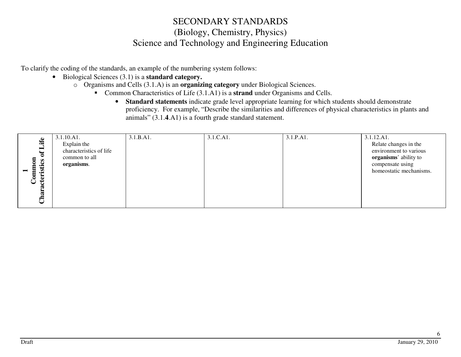To clarify the coding of the standards, an example of the numbering system follows:

- Biological Sciences (3.1) is a **standard category.**
	- o Organisms and Cells (3.1.A) is an **organizing category** under Biological Sciences.
		- Common Characteristics of Life (3.1.A1) is a **strand** under Organisms and Cells.
			- **Standard statements** indicate grade level appropriate learning for which students should demonstrate proficiency. For example, "Describe the similarities and differences of physical characteristics in plants and animals" (3.1.**4**.A1) is a fourth grade standard statement.

|                        | 3.1.10.A1.              | 3.1.B.A1. | 3.1.C.A1. | 3.1.P.A1. | 3.1.12.A1.              |
|------------------------|-------------------------|-----------|-----------|-----------|-------------------------|
| Life                   | Explain the             |           |           |           | Relate changes in the   |
| ▬<br>ិ                 | characteristics of life |           |           |           | environment to various  |
|                        | common to all           |           |           |           | organisms' ability to   |
| $\mathbf{c}$<br>Ξ<br>÷ | organisms.              |           |           |           | compensate using        |
| ত                      |                         |           |           |           | homeostatic mechanisms. |
| Ë<br>➤`<br>Ĕ           |                         |           |           |           |                         |
| ب                      |                         |           |           |           |                         |
|                        |                         |           |           |           |                         |
| ن                      |                         |           |           |           |                         |
|                        |                         |           |           |           |                         |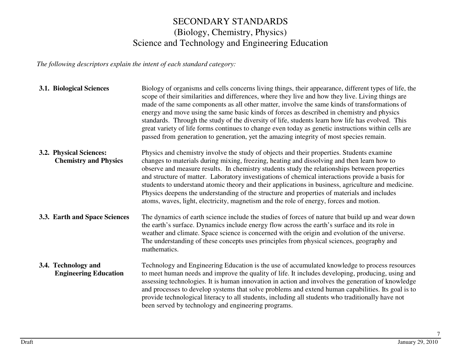*The following descriptors explain the intent of each standard category:*

| 3.1. Biological Sciences                                | Biology of organisms and cells concerns living things, their appearance, different types of life, the<br>scope of their similarities and differences, where they live and how they live. Living things are<br>made of the same components as all other matter, involve the same kinds of transformations of<br>energy and move using the same basic kinds of forces as described in chemistry and physics<br>standards. Through the study of the diversity of life, students learn how life has evolved. This<br>great variety of life forms continues to change even today as genetic instructions within cells are<br>passed from generation to generation, yet the amazing integrity of most species remain. |
|---------------------------------------------------------|-----------------------------------------------------------------------------------------------------------------------------------------------------------------------------------------------------------------------------------------------------------------------------------------------------------------------------------------------------------------------------------------------------------------------------------------------------------------------------------------------------------------------------------------------------------------------------------------------------------------------------------------------------------------------------------------------------------------|
| 3.2. Physical Sciences:<br><b>Chemistry and Physics</b> | Physics and chemistry involve the study of objects and their properties. Students examine<br>changes to materials during mixing, freezing, heating and dissolving and then learn how to<br>observe and measure results. In chemistry students study the relationships between properties<br>and structure of matter. Laboratory investigations of chemical interactions provide a basis for<br>students to understand atomic theory and their applications in business, agriculture and medicine.<br>Physics deepens the understanding of the structure and properties of materials and includes<br>atoms, waves, light, electricity, magnetism and the role of energy, forces and motion.                      |
| 3.3. Earth and Space Sciences                           | The dynamics of earth science include the studies of forces of nature that build up and wear down<br>the earth's surface. Dynamics include energy flow across the earth's surface and its role in<br>weather and climate. Space science is concerned with the origin and evolution of the universe.<br>The understanding of these concepts uses principles from physical sciences, geography and<br>mathematics.                                                                                                                                                                                                                                                                                                |
| 3.4. Technology and<br><b>Engineering Education</b>     | Technology and Engineering Education is the use of accumulated knowledge to process resources<br>to meet human needs and improve the quality of life. It includes developing, producing, using and<br>assessing technologies. It is human innovation in action and involves the generation of knowledge<br>and processes to develop systems that solve problems and extend human capabilities. Its goal is to<br>provide technological literacy to all students, including all students who traditionally have not<br>been served by technology and engineering programs.                                                                                                                                       |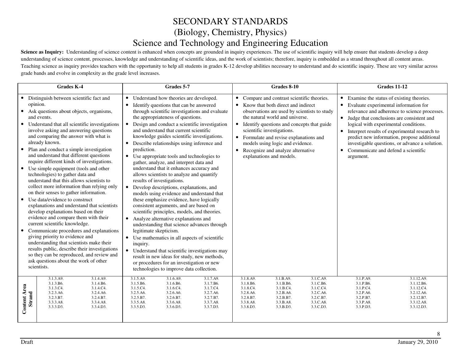Science as Inquiry: Understanding of science content is enhanced when concepts are grounded in inquiry experiences. The use of scientific inquiry will help ensure that students develop a deep understanding of science content, processes, knowledge and understanding of scientific ideas, and the work of scientists; therefore, inquiry is embedded as a strand throughout all content areas. Teaching science as inquiry provides teachers with the opportunity to help all students in grades K-12 develop abilities necessary to understand and do scientific inquiry. These are very similar across grade bands and evolve in complexity as the grade level increases.

|                                      | <b>Grades K-4</b>                                                                                                                                                                                                                                                                                                                                                                                                                                                                                                                                                                                                                                                                                                                                                                                                                                                                                                                                                                                                                                                                                              | Grades 5-7                                                                                                                                                                                                                                                                                                                                                                                                                                                                                                                                                                                                                                                                                                                                                                                                                                                                                                                                                                                                                                                                                                                                                                                                                               |                                                                                         | Grades 8-10                                                                                                                                                                                                                                                                                                                                                                                            |                                                                                         |                                                                                                                                                                                                                                                                                 | <b>Grades 11-12</b>                                                                                                                                                                             |
|--------------------------------------|----------------------------------------------------------------------------------------------------------------------------------------------------------------------------------------------------------------------------------------------------------------------------------------------------------------------------------------------------------------------------------------------------------------------------------------------------------------------------------------------------------------------------------------------------------------------------------------------------------------------------------------------------------------------------------------------------------------------------------------------------------------------------------------------------------------------------------------------------------------------------------------------------------------------------------------------------------------------------------------------------------------------------------------------------------------------------------------------------------------|------------------------------------------------------------------------------------------------------------------------------------------------------------------------------------------------------------------------------------------------------------------------------------------------------------------------------------------------------------------------------------------------------------------------------------------------------------------------------------------------------------------------------------------------------------------------------------------------------------------------------------------------------------------------------------------------------------------------------------------------------------------------------------------------------------------------------------------------------------------------------------------------------------------------------------------------------------------------------------------------------------------------------------------------------------------------------------------------------------------------------------------------------------------------------------------------------------------------------------------|-----------------------------------------------------------------------------------------|--------------------------------------------------------------------------------------------------------------------------------------------------------------------------------------------------------------------------------------------------------------------------------------------------------------------------------------------------------------------------------------------------------|-----------------------------------------------------------------------------------------|---------------------------------------------------------------------------------------------------------------------------------------------------------------------------------------------------------------------------------------------------------------------------------|-------------------------------------------------------------------------------------------------------------------------------------------------------------------------------------------------|
| $\bullet$<br>$\bullet$<br>$\bullet$  | Distinguish between scientific fact and<br>opinion.<br>• Ask questions about objects, organisms,<br>and events.<br>• Understand that all scientific investigations<br>involve asking and answering questions<br>and comparing the answer with what is<br>already known.<br>Plan and conduct a simple investigation<br>and understand that different questions<br>require different kinds of investigations.<br>Use simple equipment (tools and other<br>technologies) to gather data and<br>understand that this allows scientists to<br>collect more information than relying only<br>on their senses to gather information.<br>Use data/evidence to construct<br>explanations and understand that scientists<br>develop explanations based on their<br>evidence and compare them with their<br>current scientific knowledge.<br>Communicate procedures and explanations<br>giving priority to evidence and<br>understanding that scientists make their<br>results public, describe their investigations<br>so they can be reproduced, and review and<br>ask questions about the work of other<br>scientists. | • Understand how theories are developed.<br>Identify questions that can be answered<br>$\bullet$<br>through scientific investigations and evaluate<br>the appropriateness of questions.<br>• Design and conduct a scientific investigation<br>and understand that current scientific<br>knowledge guides scientific investigations.<br>Describe relationships using inference and<br>$\bullet$<br>prediction.<br>• Use appropriate tools and technologies to<br>gather, analyze, and interpret data and<br>understand that it enhances accuracy and<br>allows scientists to analyze and quantify<br>results of investigations.<br>Develop descriptions, explanations, and<br>models using evidence and understand that<br>these emphasize evidence, have logically<br>consistent arguments, and are based on<br>scientific principles, models, and theories.<br>• Analyze alternative explanations and<br>understanding that science advances through<br>legitimate skepticism.<br>• Use mathematics in all aspects of scientific<br>inquiry.<br>• Understand that scientific investigations may<br>result in new ideas for study, new methods,<br>or procedures for an investigation or new<br>technologies to improve data collection. |                                                                                         | • Compare and contrast scientific theories.<br>• Know that both direct and indirect<br>observations are used by scientists to study<br>the natural world and universe.<br>• Identify questions and concepts that guide<br>scientific investigations.<br>• Formulate and revise explanations and<br>models using logic and evidence.<br>• Recognize and analyze alternative<br>explanations and models. |                                                                                         | Examine the status of existing theories.<br>$\bullet$<br>Evaluate experimental information for<br>$\bullet$<br>Judge that conclusions are consistent and<br>$\bullet$<br>logical with experimental conditions.<br>Communicate and defend a scientific<br>$\bullet$<br>argument. | relevance and adherence to science processes.<br>Interpret results of experimental research to<br>predict new information, propose additional<br>investigable questions, or advance a solution. |
| <b>Content Area</b><br><b>Strand</b> | 3.1.3.A9.<br>3.1.4.A9.<br>3.1.4.B6.<br>3.1.3.B6.<br>3.1.3.C4.<br>3.1.4.C4.<br>3.2.3.A6.<br>3.2.4.A6.<br>3.2.3.B7.<br>3.2.4.B7.<br>3.3.3.A8.<br>3.3.4.A8.<br>3.3.3.D3.<br>3.3.4.D3.                                                                                                                                                                                                                                                                                                                                                                                                                                                                                                                                                                                                                                                                                                                                                                                                                                                                                                                             | 3.1.5.A9.<br>3.1.6.A9.<br>3.1.5.B6.<br>3.1.6.B6.<br>3.1.5.C4.<br>3.1.6.C4.<br>3.2.5.A6.<br>3.2.6.A6.<br>3.2.5.B7.<br>3.2.6.B7.<br>3.3.5.A8.<br>3.3.6.A8.<br>3.3.5.D3.<br>3.3.6.D3.                                                                                                                                                                                                                                                                                                                                                                                                                                                                                                                                                                                                                                                                                                                                                                                                                                                                                                                                                                                                                                                       | 3.1.7.A9.<br>3.1.7.B6.<br>3.1.7.C4.<br>3.2.7.A6.<br>3.2.7.B7.<br>3.3.7.A8.<br>3.3.7.D3. | 3.1.8.A9.<br>3.1.B.A9.<br>3.1.8.B6.<br>3.1.B.B6.<br>3.1.8.C4.<br>3.1.B.C4.<br>3.2.B.A6.<br>3.2.8.A6.<br>3.2.8.B7.<br>3.2.B.B7.<br>3.3.8.A8.<br>3.3.B.A8.<br>3.3.8.D3.<br>3.3.B.D3.                                                                                                                                                                                                                     | 3.1.C.A9.<br>3.1.C.B6.<br>3.1.C.C4.<br>3.2.C.A6.<br>3.2.C.B7.<br>3.3.C.A8.<br>3.3.C.D3. | 3.1.P.A9.<br>3.1.P.B6.<br>3.1.P.C4.<br>3.2.P.A6.<br>3.2.P.B7.<br>3.3.P.A8.<br>3.3.P.D3.                                                                                                                                                                                         | 3.1.12.A9.<br>3.1.12.B6.<br>3.1.12.C4.<br>3.2.12.A6.<br>3.2.12.B7.<br>3.3.12.A8.<br>3.3.12.D3.                                                                                                  |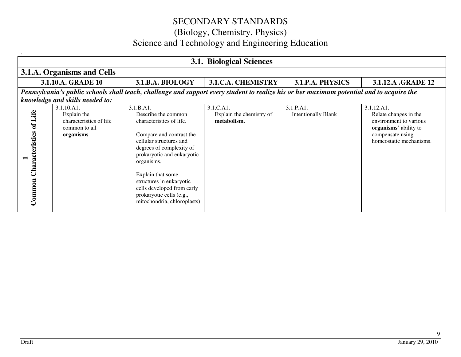|                                          | <b>3.1. Biological Sciences</b>                                                                                                                                              |                                                                                                                                                                                                                                                                                                                                       |                                                      |                                         |                                                                                                                                       |  |  |  |
|------------------------------------------|------------------------------------------------------------------------------------------------------------------------------------------------------------------------------|---------------------------------------------------------------------------------------------------------------------------------------------------------------------------------------------------------------------------------------------------------------------------------------------------------------------------------------|------------------------------------------------------|-----------------------------------------|---------------------------------------------------------------------------------------------------------------------------------------|--|--|--|
|                                          | 3.1.A. Organisms and Cells                                                                                                                                                   |                                                                                                                                                                                                                                                                                                                                       |                                                      |                                         |                                                                                                                                       |  |  |  |
|                                          | 3.1.10.A. GRADE 10                                                                                                                                                           | 3.1.B.A. BIOLOGY                                                                                                                                                                                                                                                                                                                      | <b>3.1.C.A. CHEMISTRY</b>                            | 3.1.P.A. PHYSICS                        | 3.1.12.A .GRADE 12                                                                                                                    |  |  |  |
|                                          | Pennsylvania's public schools shall teach, challenge and support every student to realize his or her maximum potential and to acquire the<br>knowledge and skills needed to: |                                                                                                                                                                                                                                                                                                                                       |                                                      |                                         |                                                                                                                                       |  |  |  |
| <b>Characteristics of Life</b><br>Common | 3.1.10.A1.<br>Explain the<br>characteristics of life<br>common to all<br>organisms.                                                                                          | 3.1.B.A1.<br>Describe the common<br>characteristics of life.<br>Compare and contrast the<br>cellular structures and<br>degrees of complexity of<br>prokaryotic and eukaryotic<br>organisms.<br>Explain that some<br>structures in eukaryotic<br>cells developed from early<br>prokaryotic cells (e.g.,<br>mitochondria, chloroplasts) | 3.1.C.A1.<br>Explain the chemistry of<br>metabolism. | 3.1.P.A1.<br><b>Intentionally Blank</b> | 3.1.12.A1.<br>Relate changes in the<br>environment to various<br>organisms' ability to<br>compensate using<br>homeostatic mechanisms. |  |  |  |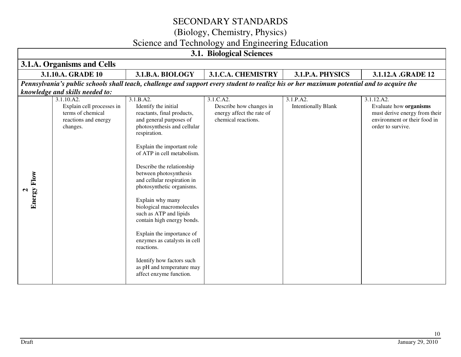(Biology, Chemistry, Physics)

# Science and Technology and Engineering Education

| <b>3.1. Biological Sciences</b> |                                                                                                  |                                                                                                                                                                                                                                                                                                                                                                                                                                                                                                                                                                                                   |                                                                                          |                                         |                                                                                                                            |
|---------------------------------|--------------------------------------------------------------------------------------------------|---------------------------------------------------------------------------------------------------------------------------------------------------------------------------------------------------------------------------------------------------------------------------------------------------------------------------------------------------------------------------------------------------------------------------------------------------------------------------------------------------------------------------------------------------------------------------------------------------|------------------------------------------------------------------------------------------|-----------------------------------------|----------------------------------------------------------------------------------------------------------------------------|
|                                 | 3.1.A. Organisms and Cells                                                                       |                                                                                                                                                                                                                                                                                                                                                                                                                                                                                                                                                                                                   |                                                                                          |                                         |                                                                                                                            |
|                                 | 3.1.10.A. GRADE 10                                                                               | 3.1.B.A. BIOLOGY                                                                                                                                                                                                                                                                                                                                                                                                                                                                                                                                                                                  | 3.1.C.A. CHEMISTRY                                                                       | 3.1.P.A. PHYSICS                        | 3.1.12.A .GRADE 12                                                                                                         |
|                                 |                                                                                                  | Pennsylvania's public schools shall teach, challenge and support every student to realize his or her maximum potential and to acquire the                                                                                                                                                                                                                                                                                                                                                                                                                                                         |                                                                                          |                                         |                                                                                                                            |
|                                 | knowledge and skills needed to:                                                                  |                                                                                                                                                                                                                                                                                                                                                                                                                                                                                                                                                                                                   |                                                                                          |                                         |                                                                                                                            |
| Energy Flow                     | 3.1.10.A2.<br>Explain cell processes in<br>terms of chemical<br>reactions and energy<br>changes. | 3.1.B.A2.<br>Identify the initial<br>reactants, final products,<br>and general purposes of<br>photosynthesis and cellular<br>respiration.<br>Explain the important role<br>of ATP in cell metabolism.<br>Describe the relationship<br>between photosynthesis<br>and cellular respiration in<br>photosynthetic organisms.<br>Explain why many<br>biological macromolecules<br>such as ATP and lipids<br>contain high energy bonds.<br>Explain the importance of<br>enzymes as catalysts in cell<br>reactions.<br>Identify how factors such<br>as pH and temperature may<br>affect enzyme function. | 3.1.C.A2.<br>Describe how changes in<br>energy affect the rate of<br>chemical reactions. | 3.1.P.A2.<br><b>Intentionally Blank</b> | 3.1.12.A2.<br>Evaluate how organisms<br>must derive energy from their<br>environment or their food in<br>order to survive. |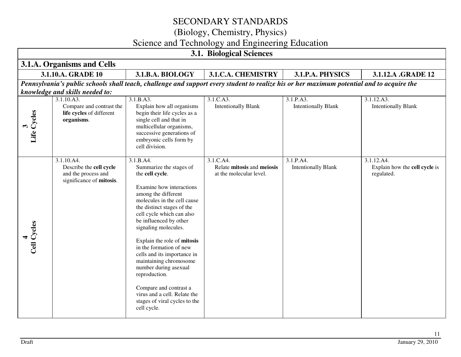(Biology, Chemistry, Physics)

# Science and Technology and Engineering Education

| <b>3.1. Biological Sciences</b> |                                                                                                                                                                              |                                                                                                                                                                                                                                                                                                                                                                                                                                                                                                                                              |                                                                    |                                         |                                                           |  |  |  |
|---------------------------------|------------------------------------------------------------------------------------------------------------------------------------------------------------------------------|----------------------------------------------------------------------------------------------------------------------------------------------------------------------------------------------------------------------------------------------------------------------------------------------------------------------------------------------------------------------------------------------------------------------------------------------------------------------------------------------------------------------------------------------|--------------------------------------------------------------------|-----------------------------------------|-----------------------------------------------------------|--|--|--|
|                                 | 3.1.A. Organisms and Cells                                                                                                                                                   |                                                                                                                                                                                                                                                                                                                                                                                                                                                                                                                                              |                                                                    |                                         |                                                           |  |  |  |
|                                 | 3.1.10.A. GRADE 10                                                                                                                                                           | 3.1.B.A. BIOLOGY                                                                                                                                                                                                                                                                                                                                                                                                                                                                                                                             | 3.1.C.A. CHEMISTRY                                                 | 3.1.P.A. PHYSICS                        | 3.1.12.A .GRADE 12                                        |  |  |  |
|                                 | Pennsylvania's public schools shall teach, challenge and support every student to realize his or her maximum potential and to acquire the<br>knowledge and skills needed to: |                                                                                                                                                                                                                                                                                                                                                                                                                                                                                                                                              |                                                                    |                                         |                                                           |  |  |  |
| Life Cycles                     | 3.1.10.A3.<br>Compare and contrast the<br>life cycles of different<br>organisms.                                                                                             | 3.1.B.A3.<br>Explain how all organisms<br>begin their life cycles as a<br>single cell and that in<br>multicellular organisms,<br>successive generations of<br>embryonic cells form by<br>cell division.                                                                                                                                                                                                                                                                                                                                      | 3.1.C.A3.<br><b>Intentionally Blank</b>                            | 3.1.P.A3.<br><b>Intentionally Blank</b> | 3.1.12.A3.<br><b>Intentionally Blank</b>                  |  |  |  |
| Cell Cycles                     | 3.1.10.A4.<br>Describe the cell cycle<br>and the process and<br>significance of mitosis.                                                                                     | $3.1.B. \overline{A4}$ .<br>Summarize the stages of<br>the cell cycle.<br>Examine how interactions<br>among the different<br>molecules in the cell cause<br>the distinct stages of the<br>cell cycle which can also<br>be influenced by other<br>signaling molecules.<br>Explain the role of mitosis<br>in the formation of new<br>cells and its importance in<br>maintaining chromosome<br>number during asexual<br>reproduction.<br>Compare and contrast a<br>virus and a cell. Relate the<br>stages of viral cycles to the<br>cell cycle. | 3.1.C.A4.<br>Relate mitosis and meiosis<br>at the molecular level. | 3.1.P.A4.<br><b>Intentionally Blank</b> | 3.1.12.A4.<br>Explain how the cell cycle is<br>regulated. |  |  |  |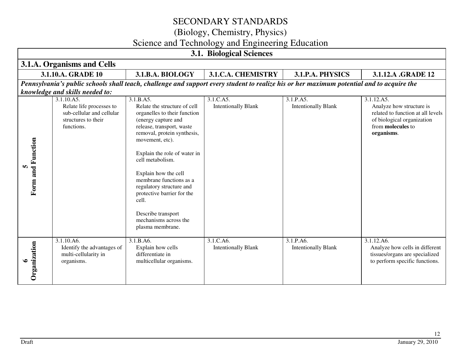(Biology, Chemistry, Physics)

# Science and Technology and Engineering Education

|                        | <b>3.1. Biological Sciences</b>                                                                          |                                                                                                                                                                                                                                                                                                                                                                                                                              |                                                                                                                                           |                                         |                                                                                                                                                     |  |
|------------------------|----------------------------------------------------------------------------------------------------------|------------------------------------------------------------------------------------------------------------------------------------------------------------------------------------------------------------------------------------------------------------------------------------------------------------------------------------------------------------------------------------------------------------------------------|-------------------------------------------------------------------------------------------------------------------------------------------|-----------------------------------------|-----------------------------------------------------------------------------------------------------------------------------------------------------|--|
|                        | 3.1.A. Organisms and Cells                                                                               |                                                                                                                                                                                                                                                                                                                                                                                                                              |                                                                                                                                           |                                         |                                                                                                                                                     |  |
|                        | 3.1.10.A. GRADE 10                                                                                       | 3.1.B.A. BIOLOGY                                                                                                                                                                                                                                                                                                                                                                                                             | 3.1.C.A. CHEMISTRY                                                                                                                        | 3.1.P.A. PHYSICS                        | 3.1.12.A .GRADE 12                                                                                                                                  |  |
|                        |                                                                                                          |                                                                                                                                                                                                                                                                                                                                                                                                                              | Pennsylvania's public schools shall teach, challenge and support every student to realize his or her maximum potential and to acquire the |                                         |                                                                                                                                                     |  |
|                        | knowledge and skills needed to:                                                                          |                                                                                                                                                                                                                                                                                                                                                                                                                              |                                                                                                                                           |                                         |                                                                                                                                                     |  |
| Form and Function<br>m | 3.1.10.A5.<br>Relate life processes to<br>sub-cellular and cellular<br>structures to their<br>functions. | 3.1.B.A5.<br>Relate the structure of cell<br>organelles to their function<br>(energy capture and<br>release, transport, waste<br>removal, protein synthesis,<br>movement, etc).<br>Explain the role of water in<br>cell metabolism.<br>Explain how the cell<br>membrane functions as a<br>regulatory structure and<br>protective barrier for the<br>cell.<br>Describe transport<br>mechanisms across the<br>plasma membrane. | 3.1.C.A5.<br><b>Intentionally Blank</b>                                                                                                   | 3.1.P.A5.<br><b>Intentionally Blank</b> | 3.1.12.A5.<br>Analyze how structure is<br>related to function at all levels<br>of biological organization<br>from <b>molecules</b> to<br>organisms. |  |
| Organization<br>७      | 3.1.10.A6.<br>Identify the advantages of<br>multi-cellularity in<br>organisms.                           | 3.1.B.A6.<br>Explain how cells<br>differentiate in<br>multicellular organisms.                                                                                                                                                                                                                                                                                                                                               | 3.1.C.A6.<br><b>Intentionally Blank</b>                                                                                                   | 3.1.P.A6.<br><b>Intentionally Blank</b> | 3.1.12.A6.<br>Analyze how cells in different<br>tissues/organs are specialized<br>to perform specific functions.                                    |  |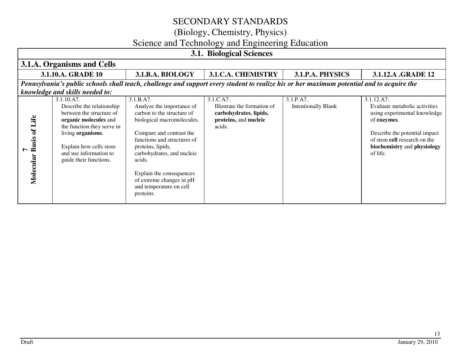(Biology, Chemistry, Physics)

# Science and Technology and Engineering Education

| <b>3.1. Biological Sciences</b>        |                                                                                                                                                                                                                                |                                                                                                                                                                                                                                                                                                                            |                                                                                                       |                                         |                                                                                                                                                                                                        |
|----------------------------------------|--------------------------------------------------------------------------------------------------------------------------------------------------------------------------------------------------------------------------------|----------------------------------------------------------------------------------------------------------------------------------------------------------------------------------------------------------------------------------------------------------------------------------------------------------------------------|-------------------------------------------------------------------------------------------------------|-----------------------------------------|--------------------------------------------------------------------------------------------------------------------------------------------------------------------------------------------------------|
|                                        | 3.1.A. Organisms and Cells                                                                                                                                                                                                     |                                                                                                                                                                                                                                                                                                                            |                                                                                                       |                                         |                                                                                                                                                                                                        |
|                                        | 3.1.10.A. GRADE 10                                                                                                                                                                                                             | 3.1.B.A. BIOLOGY                                                                                                                                                                                                                                                                                                           | 3.1.C.A. CHEMISTRY                                                                                    | 3.1.P.A. PHYSICS                        | 3.1.12.A .GRADE 12                                                                                                                                                                                     |
|                                        |                                                                                                                                                                                                                                | Pennsylvania's public schools shall teach, challenge and support every student to realize his or her maximum potential and to acquire the                                                                                                                                                                                  |                                                                                                       |                                         |                                                                                                                                                                                                        |
|                                        | knowledge and skills needed to:                                                                                                                                                                                                |                                                                                                                                                                                                                                                                                                                            |                                                                                                       |                                         |                                                                                                                                                                                                        |
| <b>Basis of Life</b><br>L<br>Molecular | 3.1.10.A7.<br>Describe the relationship<br>between the structure of<br>organic molecules and<br>the function they serve in<br>living organisms.<br>Explain how cells store<br>and use information to<br>guide their functions. | 3.1.B.A7.<br>Analyze the importance of<br>carbon to the structure of<br>biological macromolecules.<br>Compare and contrast the<br>functions and structures of<br>proteins, lipids,<br>carbohydrates, and nucleic<br>acids.<br>Explain the consequences<br>of extreme changes in pH<br>and temperature on cell<br>proteins. | 3.1.C.A7.<br>Illustrate the formation of<br>carbohydrates, lipids,<br>proteins, and nucleic<br>acids. | 3.1.P.A7.<br><b>Intentionally Blank</b> | 3.1.12.A7.<br>Evaluate metabolic activities<br>using experimental knowledge<br>of enzymes.<br>Describe the potential impact<br>of stem cell research on the<br>biochemistry and physiology<br>of life. |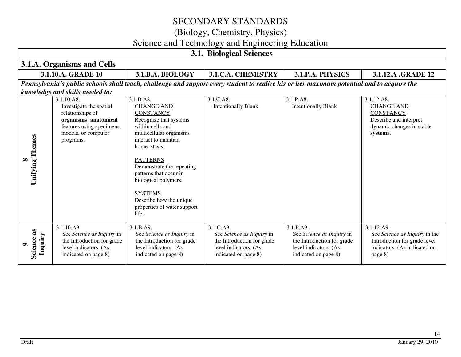### (Biology, Chemistry, Physics)

# Science and Technology and Engineering Education

| <b>3.1. Biological Sciences</b>    |                                                                                                                                                     |                                                                                                                                                                                                                                                                                                                                                   |                                                                                                                                           |                                                                                                                       |                                                                                                                        |
|------------------------------------|-----------------------------------------------------------------------------------------------------------------------------------------------------|---------------------------------------------------------------------------------------------------------------------------------------------------------------------------------------------------------------------------------------------------------------------------------------------------------------------------------------------------|-------------------------------------------------------------------------------------------------------------------------------------------|-----------------------------------------------------------------------------------------------------------------------|------------------------------------------------------------------------------------------------------------------------|
|                                    | 3.1.A. Organisms and Cells                                                                                                                          |                                                                                                                                                                                                                                                                                                                                                   |                                                                                                                                           |                                                                                                                       |                                                                                                                        |
|                                    | 3.1.10.A. GRADE 10                                                                                                                                  | 3.1.B.A. BIOLOGY                                                                                                                                                                                                                                                                                                                                  | 3.1.C.A. CHEMISTRY                                                                                                                        | 3.1.P.A. PHYSICS                                                                                                      | 3.1.12.A .GRADE 12                                                                                                     |
|                                    |                                                                                                                                                     |                                                                                                                                                                                                                                                                                                                                                   | Pennsylvania's public schools shall teach, challenge and support every student to realize his or her maximum potential and to acquire the |                                                                                                                       |                                                                                                                        |
|                                    | knowledge and skills needed to:                                                                                                                     |                                                                                                                                                                                                                                                                                                                                                   |                                                                                                                                           |                                                                                                                       |                                                                                                                        |
| <b>Unifying Themes</b><br>$\infty$ | 3.1.10.A8.<br>Investigate the spatial<br>relationships of<br>organisms' anatomical<br>features using specimens,<br>models, or computer<br>programs. | 3.1.B.A8.<br><b>CHANGE AND</b><br><b>CONSTANCY</b><br>Recognize that systems<br>within cells and<br>multicellular organisms<br>interact to maintain<br>homeostasis.<br><b>PATTERNS</b><br>Demonstrate the repeating<br>patterns that occur in<br>biological polymers.<br><b>SYSTEMS</b><br>Describe how the unique<br>properties of water support | 3.1.C.A8.<br><b>Intentionally Blank</b>                                                                                                   | 3.1.P.A8.<br><b>Intentionally Blank</b>                                                                               | 3.1.12.A8.<br><b>CHANGE AND</b><br><b>CONSTANCY</b><br>Describe and interpret<br>dynamic changes in stable<br>systems. |
| Science as<br>Inquiry              | 3.1.10.A9.<br>See Science as Inquiry in<br>the Introduction for grade<br>level indicators. (As<br>indicated on page 8)                              | life.<br>3.1.B.A9.<br>See Science as Inquiry in<br>the Introduction for grade<br>level indicators. (As<br>indicated on page 8)                                                                                                                                                                                                                    | 3.1.C.A9.<br>See Science as Inquiry in<br>the Introduction for grade<br>level indicators. (As<br>indicated on page 8)                     | 3.1.P.A9.<br>See Science as Inquiry in<br>the Introduction for grade<br>level indicators. (As<br>indicated on page 8) | 3.1.12.A9.<br>See Science as Inquiry in the<br>Introduction for grade level<br>indicators. (As indicated on<br>page 8) |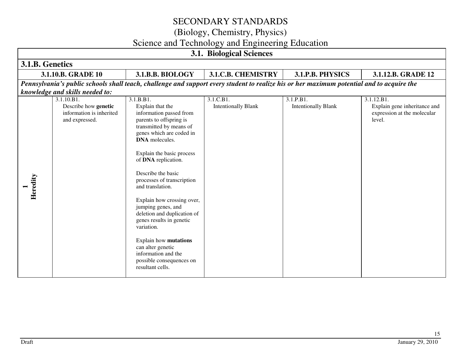(Biology, Chemistry, Physics)

### Science and Technology and Engineering Education

| <b>3.1. Biological Sciences</b> |                                                                                  |                                                                                                                                                                                                                                                                                                                                                                                                                                                                                                                                                   |                                         |                                         |                                                                                     |  |
|---------------------------------|----------------------------------------------------------------------------------|---------------------------------------------------------------------------------------------------------------------------------------------------------------------------------------------------------------------------------------------------------------------------------------------------------------------------------------------------------------------------------------------------------------------------------------------------------------------------------------------------------------------------------------------------|-----------------------------------------|-----------------------------------------|-------------------------------------------------------------------------------------|--|
| 3.1.B. Genetics                 |                                                                                  |                                                                                                                                                                                                                                                                                                                                                                                                                                                                                                                                                   |                                         |                                         |                                                                                     |  |
|                                 | 3.1.10.B. GRADE 10                                                               | 3.1.B.B. BIOLOGY                                                                                                                                                                                                                                                                                                                                                                                                                                                                                                                                  | <b>3.1.C.B. CHEMISTRY</b>               | 3.1.P.B. PHYSICS                        | 3.1.12.B. GRADE 12                                                                  |  |
|                                 |                                                                                  | Pennsylvania's public schools shall teach, challenge and support every student to realize his or her maximum potential and to acquire the                                                                                                                                                                                                                                                                                                                                                                                                         |                                         |                                         |                                                                                     |  |
|                                 | knowledge and skills needed to:                                                  |                                                                                                                                                                                                                                                                                                                                                                                                                                                                                                                                                   |                                         |                                         |                                                                                     |  |
| Heredity                        | 3.1.10.B1.<br>Describe how genetic<br>information is inherited<br>and expressed. | 3.1.B.B1.<br>Explain that the<br>information passed from<br>parents to offspring is<br>transmitted by means of<br>genes which are coded in<br><b>DNA</b> molecules.<br>Explain the basic process<br>of DNA replication.<br>Describe the basic<br>processes of transcription<br>and translation.<br>Explain how crossing over,<br>jumping genes, and<br>deletion and duplication of<br>genes results in genetic<br>variation.<br>Explain how mutations<br>can alter genetic<br>information and the<br>possible consequences on<br>resultant cells. | 3.1.C.B1.<br><b>Intentionally Blank</b> | 3.1.P.B1.<br><b>Intentionally Blank</b> | 3.1.12.B1.<br>Explain gene inheritance and<br>expression at the molecular<br>level. |  |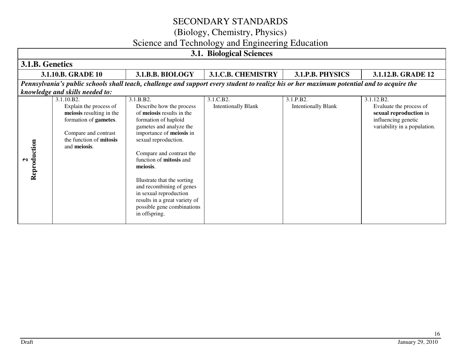(Biology, Chemistry, Physics)

# Science and Technology and Engineering Education

|                   | <b>3.1. Biological Sciences</b>                                                                                                                              |                                                                                                                                                                                                                                                                                                                                                                                                                          |                                         |                                         |                                                                                                                        |  |  |
|-------------------|--------------------------------------------------------------------------------------------------------------------------------------------------------------|--------------------------------------------------------------------------------------------------------------------------------------------------------------------------------------------------------------------------------------------------------------------------------------------------------------------------------------------------------------------------------------------------------------------------|-----------------------------------------|-----------------------------------------|------------------------------------------------------------------------------------------------------------------------|--|--|
| 3.1.B. Genetics   |                                                                                                                                                              |                                                                                                                                                                                                                                                                                                                                                                                                                          |                                         |                                         |                                                                                                                        |  |  |
|                   | 3.1.10.B. GRADE 10                                                                                                                                           | 3.1.B.B. BIOLOGY                                                                                                                                                                                                                                                                                                                                                                                                         | <b>3.1.C.B. CHEMISTRY</b>               | 3.1.P.B. PHYSICS                        | 3.1.12.B. GRADE 12                                                                                                     |  |  |
|                   | knowledge and skills needed to:                                                                                                                              | Pennsylvania's public schools shall teach, challenge and support every student to realize his or her maximum potential and to acquire the                                                                                                                                                                                                                                                                                |                                         |                                         |                                                                                                                        |  |  |
| Reproduction<br>ન | 3.1.10.B2.<br>Explain the process of<br>meiosis resulting in the<br>formation of gametes.<br>Compare and contrast<br>the function of mitosis<br>and meiosis. | 3.1.B.B2.<br>Describe how the process<br>of meiosis results in the<br>formation of haploid<br>gametes and analyze the<br>importance of meiosis in<br>sexual reproduction.<br>Compare and contrast the<br>function of <b>mitosis</b> and<br>meiosis.<br>Illustrate that the sorting<br>and recombining of genes<br>in sexual reproduction<br>results in a great variety of<br>possible gene combinations<br>in offspring. | 3.1.C.B2.<br><b>Intentionally Blank</b> | 3.1.P.B2.<br><b>Intentionally Blank</b> | 3.1.12.B2.<br>Evaluate the process of<br>sexual reproduction in<br>influencing genetic<br>variability in a population. |  |  |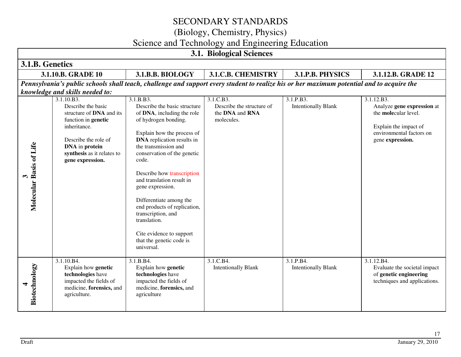(Biology, Chemistry, Physics)

# Science and Technology and Engineering Education

| 3.1. Biological Sciences                         |                                                                                                                                                                                                                                    |                                                                                                                                                                                                                                                                                                                                                                                                    |                                                                         |                                         |                                                                                                                                           |  |
|--------------------------------------------------|------------------------------------------------------------------------------------------------------------------------------------------------------------------------------------------------------------------------------------|----------------------------------------------------------------------------------------------------------------------------------------------------------------------------------------------------------------------------------------------------------------------------------------------------------------------------------------------------------------------------------------------------|-------------------------------------------------------------------------|-----------------------------------------|-------------------------------------------------------------------------------------------------------------------------------------------|--|
| 3.1.B. Genetics                                  |                                                                                                                                                                                                                                    |                                                                                                                                                                                                                                                                                                                                                                                                    |                                                                         |                                         |                                                                                                                                           |  |
|                                                  | 3.1.10.B. GRADE 10                                                                                                                                                                                                                 | 3.1.B.B. BIOLOGY                                                                                                                                                                                                                                                                                                                                                                                   | <b>3.1.C.B. CHEMISTRY</b>                                               | 3.1.P.B. PHYSICS                        | 3.1.12.B. GRADE 12                                                                                                                        |  |
|                                                  |                                                                                                                                                                                                                                    | Pennsylvania's public schools shall teach, challenge and support every student to realize his or her maximum potential and to acquire the                                                                                                                                                                                                                                                          |                                                                         |                                         |                                                                                                                                           |  |
| Molecular Basis of Life<br>$\boldsymbol{\omega}$ | knowledge and skills needed to:<br>3.1.10.B3.<br>Describe the basic<br>structure of DNA and its<br>function in genetic<br>inheritance.<br>Describe the role of<br>DNA in protein<br>synthesis as it relates to<br>gene expression. | 3.1.B.B3.<br>Describe the basic structure<br>of DNA, including the role<br>of hydrogen bonding.<br>Explain how the process of<br><b>DNA</b> replication results in<br>the transmission and<br>conservation of the genetic<br>code.<br>Describe how transcription<br>and translation result in<br>gene expression.<br>Differentiate among the<br>end products of replication,<br>transcription, and | 3.1.C.B3.<br>Describe the structure of<br>the DNA and RNA<br>molecules. | 3.1.P.B3.<br><b>Intentionally Blank</b> | 3.1.12.B3.<br>Analyze gene expression at<br>the molecular level.<br>Explain the impact of<br>environmental factors on<br>gene expression. |  |
| Biotechnology<br>4                               | 3.1.10.B4.<br>Explain how genetic<br>technologies have<br>impacted the fields of<br>medicine, forensics, and<br>agriculture.                                                                                                       | translation.<br>Cite evidence to support<br>that the genetic code is<br>universal.<br>3.1.B.B4.<br>Explain how genetic<br>technologies have<br>impacted the fields of<br>medicine, forensics, and<br>agriculture                                                                                                                                                                                   | 3.1.C.B4.<br><b>Intentionally Blank</b>                                 | 3.1.P.B4.<br><b>Intentionally Blank</b> | 3.1.12.B4.<br>Evaluate the societal impact<br>of genetic engineering<br>techniques and applications.                                      |  |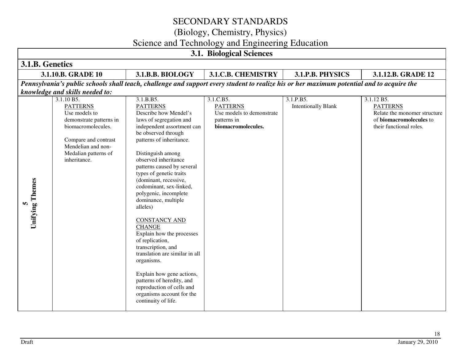### (Biology, Chemistry, Physics)

# Science and Technology and Engineering Education

| <b>3.1. Biological Sciences</b> |                                                                                                                                                                                       |                                                                                                                                                                                                                                                                                                                                                                                                                                                                                                                                                                                                                                                                                                   |                                                                                                |                                                                                                                                           |                                                                                                                     |  |  |
|---------------------------------|---------------------------------------------------------------------------------------------------------------------------------------------------------------------------------------|---------------------------------------------------------------------------------------------------------------------------------------------------------------------------------------------------------------------------------------------------------------------------------------------------------------------------------------------------------------------------------------------------------------------------------------------------------------------------------------------------------------------------------------------------------------------------------------------------------------------------------------------------------------------------------------------------|------------------------------------------------------------------------------------------------|-------------------------------------------------------------------------------------------------------------------------------------------|---------------------------------------------------------------------------------------------------------------------|--|--|
| 3.1.B. Genetics                 |                                                                                                                                                                                       |                                                                                                                                                                                                                                                                                                                                                                                                                                                                                                                                                                                                                                                                                                   |                                                                                                |                                                                                                                                           |                                                                                                                     |  |  |
|                                 | 3.1.10.B. GRADE 10                                                                                                                                                                    | 3.1.B.B. BIOLOGY                                                                                                                                                                                                                                                                                                                                                                                                                                                                                                                                                                                                                                                                                  | <b>3.1.C.B. CHEMISTRY</b>                                                                      | 3.1.P.B. PHYSICS                                                                                                                          | 3.1.12.B. GRADE 12                                                                                                  |  |  |
|                                 |                                                                                                                                                                                       |                                                                                                                                                                                                                                                                                                                                                                                                                                                                                                                                                                                                                                                                                                   |                                                                                                | Pennsylvania's public schools shall teach, challenge and support every student to realize his or her maximum potential and to acquire the |                                                                                                                     |  |  |
|                                 | knowledge and skills needed to:                                                                                                                                                       |                                                                                                                                                                                                                                                                                                                                                                                                                                                                                                                                                                                                                                                                                                   |                                                                                                |                                                                                                                                           |                                                                                                                     |  |  |
| 5<br>Unifying Themes            | 3.1.10 B5.<br><b>PATTERNS</b><br>Use models to<br>demonstrate patterns in<br>biomacromolecules.<br>Compare and contrast<br>Mendelian and non-<br>Medalian patterns of<br>inheritance. | 3.1.B.B5.<br><b>PATTERNS</b><br>Describe how Mendel's<br>laws of segregation and<br>independent assortment can<br>be observed through<br>patterns of inheritance.<br>Distinguish among<br>observed inheritance<br>patterns caused by several<br>types of genetic traits<br>(dominant, recessive,<br>codominant, sex-linked,<br>polygenic, incomplete<br>dominance, multiple<br>alleles)<br><b>CONSTANCY AND</b><br><b>CHANGE</b><br>Explain how the processes<br>of replication,<br>transcription, and<br>translation are similar in all<br>organisms.<br>Explain how gene actions,<br>patterns of heredity, and<br>reproduction of cells and<br>organisms account for the<br>continuity of life. | 3.1.C.B5.<br><b>PATTERNS</b><br>Use models to demonstrate<br>patterns in<br>biomacromolecules. | 3.1.P.B5.<br><b>Intentionally Blank</b>                                                                                                   | 3.1.12 B5.<br><b>PATTERNS</b><br>Relate the monomer structure<br>of biomacromolecules to<br>their functional roles. |  |  |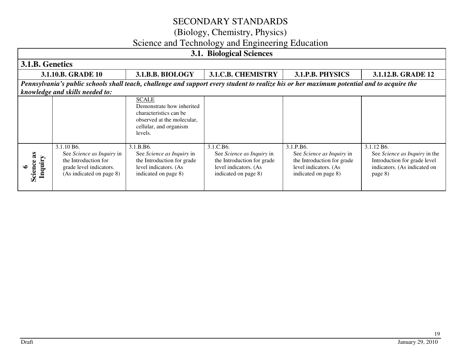### (Biology, Chemistry, Physics)

### Science and Technology and Engineering Education

|                         | <b>3.1. Biological Sciences</b>                                                                                                                                              |                                                                                                                                        |                                                                                                                       |                                                                                                                       |                                                                                                                        |  |  |
|-------------------------|------------------------------------------------------------------------------------------------------------------------------------------------------------------------------|----------------------------------------------------------------------------------------------------------------------------------------|-----------------------------------------------------------------------------------------------------------------------|-----------------------------------------------------------------------------------------------------------------------|------------------------------------------------------------------------------------------------------------------------|--|--|
| 3.1.B. Genetics         |                                                                                                                                                                              |                                                                                                                                        |                                                                                                                       |                                                                                                                       |                                                                                                                        |  |  |
|                         | 3.1.10.B. GRADE 10                                                                                                                                                           | 3.1.B.B. BIOLOGY                                                                                                                       | <b>3.1.C.B. CHEMISTRY</b>                                                                                             | 3.1.P.B. PHYSICS                                                                                                      | 3.1.12.B. GRADE 12                                                                                                     |  |  |
|                         | Pennsylvania's public schools shall teach, challenge and support every student to realize his or her maximum potential and to acquire the<br>knowledge and skills needed to: |                                                                                                                                        |                                                                                                                       |                                                                                                                       |                                                                                                                        |  |  |
|                         |                                                                                                                                                                              | <b>SCALE</b><br>Demonstrate how inherited<br>characteristics can be<br>observed at the molecular,<br>cellular, and organism<br>levels. |                                                                                                                       |                                                                                                                       |                                                                                                                        |  |  |
| æ<br>Inquiry<br>Science | 3.1.10 B6.<br>See Science as Inquiry in<br>the Introduction for<br>grade level indicators.<br>(As indicated on page 8)                                                       | 3.1.B.B6.<br>See Science as Inquiry in<br>the Introduction for grade<br>level indicators. (As<br>indicated on page 8)                  | 3.1.C.B6.<br>See Science as Inquiry in<br>the Introduction for grade<br>level indicators. (As<br>indicated on page 8) | 3.1.P.B6.<br>See Science as Inquiry in<br>the Introduction for grade<br>level indicators. (As<br>indicated on page 8) | 3.1.12 B6.<br>See Science as Inquiry in the<br>Introduction for grade level<br>indicators. (As indicated on<br>page 8) |  |  |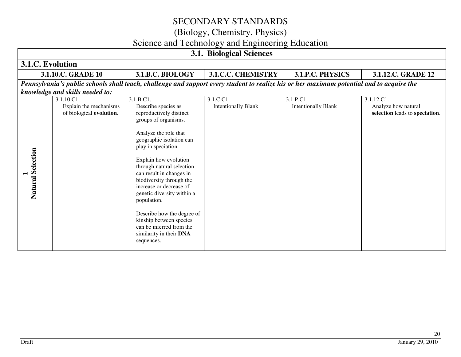(Biology, Chemistry, Physics)

### Science and Technology and Engineering Education

| <b>3.1. Biological Sciences</b> |                                                                 |                                                                                                                                                                                                                                                                                                                                                                                                                                                                                     |                                         |                                         |                                                                     |  |
|---------------------------------|-----------------------------------------------------------------|-------------------------------------------------------------------------------------------------------------------------------------------------------------------------------------------------------------------------------------------------------------------------------------------------------------------------------------------------------------------------------------------------------------------------------------------------------------------------------------|-----------------------------------------|-----------------------------------------|---------------------------------------------------------------------|--|
| 3.1.C. Evolution                |                                                                 |                                                                                                                                                                                                                                                                                                                                                                                                                                                                                     |                                         |                                         |                                                                     |  |
|                                 | 3.1.10.C. GRADE 10                                              | 3.1.B.C. BIOLOGY                                                                                                                                                                                                                                                                                                                                                                                                                                                                    | <b>3.1.C.C. CHEMISTRY</b>               | 3.1.P.C. PHYSICS                        | 3.1.12.C. GRADE 12                                                  |  |
|                                 |                                                                 | Pennsylvania's public schools shall teach, challenge and support every student to realize his or her maximum potential and to acquire the                                                                                                                                                                                                                                                                                                                                           |                                         |                                         |                                                                     |  |
|                                 | knowledge and skills needed to:                                 |                                                                                                                                                                                                                                                                                                                                                                                                                                                                                     |                                         |                                         |                                                                     |  |
| Natural Selection               | 3.1.10.C1<br>Explain the mechanisms<br>of biological evolution. | 3.1.B.C1.<br>Describe species as<br>reproductively distinct<br>groups of organisms.<br>Analyze the role that<br>geographic isolation can<br>play in speciation.<br>Explain how evolution<br>through natural selection<br>can result in changes in<br>biodiversity through the<br>increase or decrease of<br>genetic diversity within a<br>population.<br>Describe how the degree of<br>kinship between species<br>can be inferred from the<br>similarity in their DNA<br>sequences. | 3.1.C.C1.<br><b>Intentionally Blank</b> | 3.1.P.C1.<br><b>Intentionally Blank</b> | 3.1.12.C1.<br>Analyze how natural<br>selection leads to speciation. |  |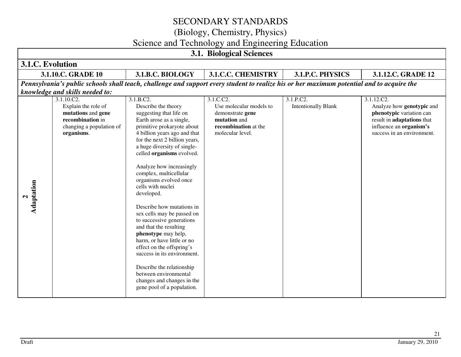(Biology, Chemistry, Physics)

# Science and Technology and Engineering Education

| <b>3.1. Biological Sciences</b>                                                                         |                          |                                                                                                                                                                                                                                                                                                                                                                                                                                                                                                                                                                                                                                                                                                                            |                                                                                                                      |                                                                                                                                           |                                                                                                                                                            |  |  |
|---------------------------------------------------------------------------------------------------------|--------------------------|----------------------------------------------------------------------------------------------------------------------------------------------------------------------------------------------------------------------------------------------------------------------------------------------------------------------------------------------------------------------------------------------------------------------------------------------------------------------------------------------------------------------------------------------------------------------------------------------------------------------------------------------------------------------------------------------------------------------------|----------------------------------------------------------------------------------------------------------------------|-------------------------------------------------------------------------------------------------------------------------------------------|------------------------------------------------------------------------------------------------------------------------------------------------------------|--|--|
| 3.1.C. Evolution                                                                                        |                          |                                                                                                                                                                                                                                                                                                                                                                                                                                                                                                                                                                                                                                                                                                                            |                                                                                                                      |                                                                                                                                           |                                                                                                                                                            |  |  |
| 3.1.10.C. GRADE 10                                                                                      |                          | 3.1.B.C. BIOLOGY                                                                                                                                                                                                                                                                                                                                                                                                                                                                                                                                                                                                                                                                                                           | <b>3.1.C.C. CHEMISTRY</b>                                                                                            | 3.1.P.C. PHYSICS                                                                                                                          | 3.1.12.C. GRADE 12                                                                                                                                         |  |  |
|                                                                                                         |                          |                                                                                                                                                                                                                                                                                                                                                                                                                                                                                                                                                                                                                                                                                                                            |                                                                                                                      | Pennsylvania's public schools shall teach, challenge and support every student to realize his or her maximum potential and to acquire the |                                                                                                                                                            |  |  |
| knowledge and skills needed to:                                                                         |                          |                                                                                                                                                                                                                                                                                                                                                                                                                                                                                                                                                                                                                                                                                                                            |                                                                                                                      |                                                                                                                                           |                                                                                                                                                            |  |  |
| 3.1.10.C2.<br>Explain the role of<br>mutations and gene<br>recombination in<br>organisms.<br>Adaptation | changing a population of | 3.1.B.C2.<br>Describe the theory<br>suggesting that life on<br>Earth arose as a single,<br>primitive prokaryote about<br>4 billion years ago and that<br>for the next 2 billion years,<br>a huge diversity of single-<br>celled organisms evolved.<br>Analyze how increasingly<br>complex, multicellular<br>organisms evolved once<br>cells with nuclei<br>developed.<br>Describe how mutations in<br>sex cells may be passed on<br>to successive generations<br>and that the resulting<br>phenotype may help,<br>harm, or have little or no<br>effect on the offspring's<br>success in its environment.<br>Describe the relationship<br>between environmental<br>changes and changes in the<br>gene pool of a population. | 3.1.C.C2.<br>Use molecular models to<br>demonstrate gene<br>mutation and<br>recombination at the<br>molecular level. | 3.1.P.C2.<br><b>Intentionally Blank</b>                                                                                                   | 3.1.12.C2.<br>Analyze how genotypic and<br>phenotypic variation can<br>result in adaptations that<br>influence an organism's<br>success in an environment. |  |  |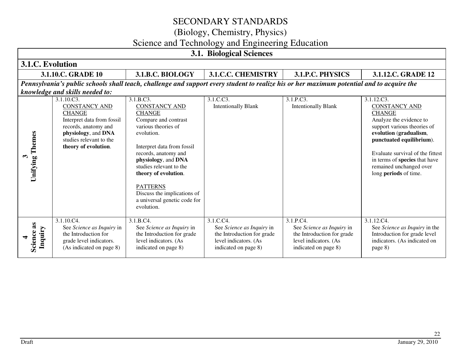(Biology, Chemistry, Physics)

# Science and Technology and Engineering Education

| <b>3.1. Biological Sciences</b>               |                                                                                                                                                                                     |                                                                                                                                                                                                                                                                                                                                                 |                                                                                                                       |                                                                                                                       |                                                                                                                                                                                                                                                                                              |  |
|-----------------------------------------------|-------------------------------------------------------------------------------------------------------------------------------------------------------------------------------------|-------------------------------------------------------------------------------------------------------------------------------------------------------------------------------------------------------------------------------------------------------------------------------------------------------------------------------------------------|-----------------------------------------------------------------------------------------------------------------------|-----------------------------------------------------------------------------------------------------------------------|----------------------------------------------------------------------------------------------------------------------------------------------------------------------------------------------------------------------------------------------------------------------------------------------|--|
| 3.1.C. Evolution                              |                                                                                                                                                                                     |                                                                                                                                                                                                                                                                                                                                                 |                                                                                                                       |                                                                                                                       |                                                                                                                                                                                                                                                                                              |  |
|                                               | 3.1.10.C. GRADE 10                                                                                                                                                                  | 3.1.B.C. BIOLOGY                                                                                                                                                                                                                                                                                                                                | 3.1.C.C. CHEMISTRY                                                                                                    | 3.1.P.C. PHYSICS                                                                                                      | 3.1.12.C. GRADE 12                                                                                                                                                                                                                                                                           |  |
|                                               |                                                                                                                                                                                     | Pennsylvania's public schools shall teach, challenge and support every student to realize his or her maximum potential and to acquire the                                                                                                                                                                                                       |                                                                                                                       |                                                                                                                       |                                                                                                                                                                                                                                                                                              |  |
|                                               | knowledge and skills needed to:                                                                                                                                                     |                                                                                                                                                                                                                                                                                                                                                 |                                                                                                                       |                                                                                                                       |                                                                                                                                                                                                                                                                                              |  |
| Themes<br>$\boldsymbol{\epsilon}$<br>Unifying | 3.1.10.C3.<br><b>CONSTANCY AND</b><br><b>CHANGE</b><br>Interpret data from fossil<br>records, anatomy and<br>physiology, and DNA<br>studies relevant to the<br>theory of evolution. | 3.1.B.C3.<br><b>CONSTANCY AND</b><br><b>CHANGE</b><br>Compare and contrast<br>various theories of<br>evolution.<br>Interpret data from fossil<br>records, anatomy and<br>physiology, and DNA<br>studies relevant to the<br>theory of evolution.<br><b>PATTERNS</b><br>Discuss the implications of<br>a universal genetic code for<br>evolution. | 3.1.C.C3.<br><b>Intentionally Blank</b>                                                                               | 3.1.P.C3.<br><b>Intentionally Blank</b>                                                                               | 3.1.12.C3.<br><b>CONSTANCY AND</b><br><b>CHANGE</b><br>Analyze the evidence to<br>support various theories of<br>evolution (gradualism,<br>punctuated equilibrium).<br>Evaluate survival of the fittest<br>in terms of species that have<br>remained unchanged over<br>long periods of time. |  |
| Science as<br>Inquiry                         | 3.1.10.C4.<br>See Science as Inquiry in<br>the Introduction for<br>grade level indicators.<br>(As indicated on page 8)                                                              | 3.1.B.C4.<br>See Science as Inquiry in<br>the Introduction for grade<br>level indicators. (As<br>indicated on page 8)                                                                                                                                                                                                                           | 3.1.C.C4.<br>See Science as Inquiry in<br>the Introduction for grade<br>level indicators. (As<br>indicated on page 8) | 3.1.P.C4.<br>See Science as Inquiry in<br>the Introduction for grade<br>level indicators. (As<br>indicated on page 8) | 3.1.12.C4.<br>See Science as Inquiry in the<br>Introduction for grade level<br>indicators. (As indicated on<br>page 8)                                                                                                                                                                       |  |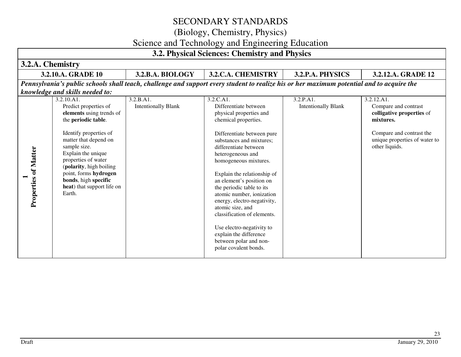### (Biology, Chemistry, Physics)

### Science and Technology and Engineering Education

#### **3.2. Physical Sciences: Chemistry and Physics 3.2.A. Chemistry 3.2.10.A. GRADE 10 3.2.B.A. BIOLOGY 3.2.C.A. CHEMISTRY 3.2.P.A. PHYSICS 3.2.12.A. GRADE 12** *Pennsylvania's public schools shall teach, challenge and support every student to realize his or her maximum potential and to acquire the knowledge and skills needed to:*3.2.C.A1 3.2.10.A1. 3.2.B.A1. 3.2.P.A1. 3.2.12.A1. Predict properties of Intentionally Blank Compare and contrast Differentiate between Intentionally Blank **elements** using trends of physical properties and **colligative properties** of the **periodic table**. chemical properties. **mixtures.** Identify properties of Differentiate between pure Compare and contrast the matter that depend on unique properties of water to substances and mixtures; sample size. other liquids. differentiate between **Properties of Matter Properties of Matter**  Explain the unique heterogeneous and properties of water homogeneous mixtures. (**polarity**, high boiling point, forms **hydrogen** Explain the relationship of  $\overline{ }$ **bonds**, high **specific** an element's position on **heat**) that support life on the periodic table to its Earth. atomic number, ionization energy, electro-negativity, atomic size, and classification of elements. Use electro-negativity to explain the difference between polar and nonpolar covalent bonds.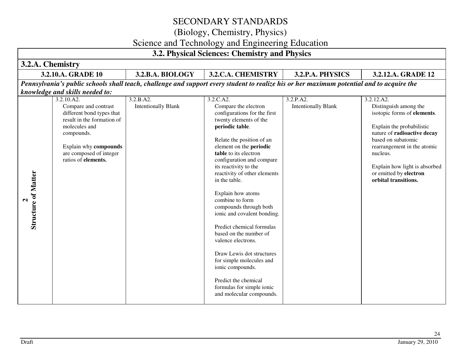# (Biology, Chemistry, Physics)

### Science and Technology and Engineering Education

|                                                 | ÕJ<br>3.2. Physical Sciences: Chemistry and Physics                                                                                                                                                     |                                         |                                                                                                                                                                                                                                                                                                                                                                                                                                                                                                                                                                                                                                                    |                                         |                                                                                                                                                                                                                                                                                    |  |  |
|-------------------------------------------------|---------------------------------------------------------------------------------------------------------------------------------------------------------------------------------------------------------|-----------------------------------------|----------------------------------------------------------------------------------------------------------------------------------------------------------------------------------------------------------------------------------------------------------------------------------------------------------------------------------------------------------------------------------------------------------------------------------------------------------------------------------------------------------------------------------------------------------------------------------------------------------------------------------------------------|-----------------------------------------|------------------------------------------------------------------------------------------------------------------------------------------------------------------------------------------------------------------------------------------------------------------------------------|--|--|
| 3.2.A. Chemistry                                |                                                                                                                                                                                                         |                                         |                                                                                                                                                                                                                                                                                                                                                                                                                                                                                                                                                                                                                                                    |                                         |                                                                                                                                                                                                                                                                                    |  |  |
|                                                 | 3.2.10.A. GRADE 10                                                                                                                                                                                      | 3.2.B.A. BIOLOGY                        | 3.2.C.A. CHEMISTRY                                                                                                                                                                                                                                                                                                                                                                                                                                                                                                                                                                                                                                 | 3.2.P.A. PHYSICS                        | 3.2.12.A. GRADE 12                                                                                                                                                                                                                                                                 |  |  |
|                                                 | knowledge and skills needed to:                                                                                                                                                                         |                                         | Pennsylvania's public schools shall teach, challenge and support every student to realize his or her maximum potential and to acquire the                                                                                                                                                                                                                                                                                                                                                                                                                                                                                                          |                                         |                                                                                                                                                                                                                                                                                    |  |  |
| <b>Structure of Matter</b><br>$\mathbf{\Omega}$ | 3.2.10.A2.<br>Compare and contrast<br>different bond types that<br>result in the formation of<br>molecules and<br>compounds.<br>Explain why compounds<br>are composed of integer<br>ratios of elements. | 3.2.B.A2.<br><b>Intentionally Blank</b> | 3.2.C.A2.<br>Compare the electron<br>configurations for the first<br>twenty elements of the<br>periodic table.<br>Relate the position of an<br>element on the periodic<br>table to its electron<br>configuration and compare<br>its reactivity to the<br>reactivity of other elements<br>in the table.<br>Explain how atoms<br>combine to form<br>compounds through both<br>ionic and covalent bonding.<br>Predict chemical formulas<br>based on the number of<br>valence electrons.<br>Draw Lewis dot structures<br>for simple molecules and<br>ionic compounds.<br>Predict the chemical<br>formulas for simple ionic<br>and molecular compounds. | 3.2.P.A2.<br><b>Intentionally Blank</b> | 3.2.12.A2.<br>Distinguish among the<br>isotopic forms of elements.<br>Explain the probabilistic<br>nature of radioactive decay<br>based on subatomic<br>rearrangement in the atomic<br>nucleus.<br>Explain how light is absorbed<br>or emitted by electron<br>orbital transitions. |  |  |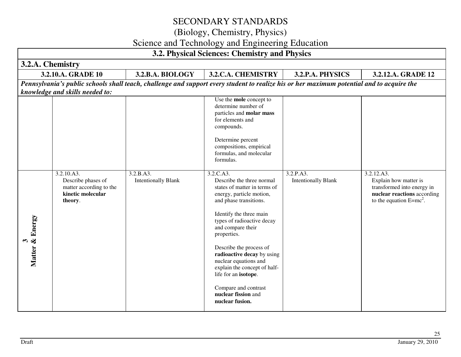# (Biology, Chemistry, Physics)

### Science and Technology and Engineering Education

| 3.2. Physical Sciences: Chemistry and Physics |                                                                                             |                                         |                                                                                                                                                                                                                                                                                                                                                                                                                                       |                                         |                                                                                                                                |  |  |
|-----------------------------------------------|---------------------------------------------------------------------------------------------|-----------------------------------------|---------------------------------------------------------------------------------------------------------------------------------------------------------------------------------------------------------------------------------------------------------------------------------------------------------------------------------------------------------------------------------------------------------------------------------------|-----------------------------------------|--------------------------------------------------------------------------------------------------------------------------------|--|--|
|                                               | 3.2.A. Chemistry                                                                            |                                         |                                                                                                                                                                                                                                                                                                                                                                                                                                       |                                         |                                                                                                                                |  |  |
|                                               | 3.2.10.A. GRADE 10                                                                          | 3.2.B.A. BIOLOGY                        | 3.2.C.A. CHEMISTRY                                                                                                                                                                                                                                                                                                                                                                                                                    | 3.2.P.A. PHYSICS                        | 3.2.12.A. GRADE 12                                                                                                             |  |  |
|                                               |                                                                                             |                                         | Pennsylvania's public schools shall teach, challenge and support every student to realize his or her maximum potential and to acquire the                                                                                                                                                                                                                                                                                             |                                         |                                                                                                                                |  |  |
|                                               | knowledge and skills needed to:                                                             |                                         |                                                                                                                                                                                                                                                                                                                                                                                                                                       |                                         |                                                                                                                                |  |  |
|                                               |                                                                                             |                                         | Use the mole concept to<br>determine number of<br>particles and molar mass<br>for elements and<br>compounds.<br>Determine percent<br>compositions, empirical<br>formulas, and molecular                                                                                                                                                                                                                                               |                                         |                                                                                                                                |  |  |
|                                               |                                                                                             |                                         | formulas.                                                                                                                                                                                                                                                                                                                                                                                                                             |                                         |                                                                                                                                |  |  |
| 3<br>Matter & Energy                          | 3.2.10.A3.<br>Describe phases of<br>matter according to the<br>kinetic molecular<br>theory. | 3.2.B.A3.<br><b>Intentionally Blank</b> | 3.2.C.A3.<br>Describe the three normal<br>states of matter in terms of<br>energy, particle motion,<br>and phase transitions.<br>Identify the three main<br>types of radioactive decay<br>and compare their<br>properties.<br>Describe the process of<br>radioactive decay by using<br>nuclear equations and<br>explain the concept of half-<br>life for an isotope.<br>Compare and contrast<br>nuclear fission and<br>nuclear fusion. | 3.2.P.A3.<br><b>Intentionally Blank</b> | 3.2.12.A3.<br>Explain how matter is<br>transformed into energy in<br>nuclear reactions according<br>to the equation $E=mc^2$ . |  |  |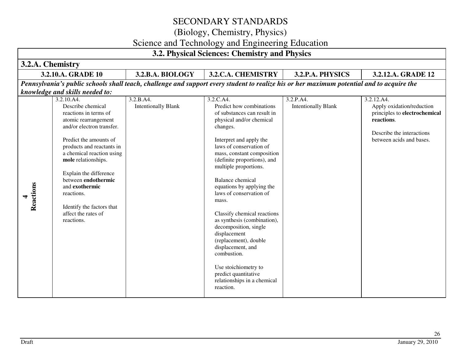# (Biology, Chemistry, Physics)

### Science and Technology and Engineering Education

| 3.2.A. Chemistry                                                                                                                                                                                                                                                                                                                                                                                                                                                                                                                                                                                                                                                                                                                                                                                                                                                                                                                                                                                                                                                                                                                                                                                                         |                               |
|--------------------------------------------------------------------------------------------------------------------------------------------------------------------------------------------------------------------------------------------------------------------------------------------------------------------------------------------------------------------------------------------------------------------------------------------------------------------------------------------------------------------------------------------------------------------------------------------------------------------------------------------------------------------------------------------------------------------------------------------------------------------------------------------------------------------------------------------------------------------------------------------------------------------------------------------------------------------------------------------------------------------------------------------------------------------------------------------------------------------------------------------------------------------------------------------------------------------------|-------------------------------|
| 3.2.10.A. GRADE 10<br>3.2.B.A. BIOLOGY<br>3.2.C.A. CHEMISTRY<br>3.2.P.A. PHYSICS<br>3.2.12.A. GRADE 12                                                                                                                                                                                                                                                                                                                                                                                                                                                                                                                                                                                                                                                                                                                                                                                                                                                                                                                                                                                                                                                                                                                   |                               |
| Pennsylvania's public schools shall teach, challenge and support every student to realize his or her maximum potential and to acquire the                                                                                                                                                                                                                                                                                                                                                                                                                                                                                                                                                                                                                                                                                                                                                                                                                                                                                                                                                                                                                                                                                |                               |
| knowledge and skills needed to:                                                                                                                                                                                                                                                                                                                                                                                                                                                                                                                                                                                                                                                                                                                                                                                                                                                                                                                                                                                                                                                                                                                                                                                          |                               |
| 3.2.10.A4.<br>3.2.B.A4.<br>3.2.C.A4.<br>3.2.P.A4.<br>3.2.12.A4.<br>Describe chemical<br><b>Intentionally Blank</b><br>Predict how combinations<br><b>Intentionally Blank</b><br>Apply oxidation/reduction<br>reactions in terms of<br>of substances can result in<br>atomic rearrangement<br>physical and/or chemical<br>reactions.<br>and/or electron transfer.<br>changes.<br>Describe the interactions<br>between acids and bases.<br>Predict the amounts of<br>Interpret and apply the<br>laws of conservation of<br>products and reactants in<br>a chemical reaction using<br>mass, constant composition<br>mole relationships.<br>(definite proportions), and<br>multiple proportions.<br>Explain the difference<br>between endothermic<br><b>Balance</b> chemical<br>Reactions<br>and exothermic<br>equations by applying the<br>laws of conservation of<br>reactions.<br>mass.<br>Identify the factors that<br>affect the rates of<br>Classify chemical reactions<br>as synthesis (combination),<br>reactions.<br>decomposition, single<br>displacement<br>(replacement), double<br>displacement, and<br>combustion.<br>Use stoichiometry to<br>predict quantitative<br>relationships in a chemical<br>reaction. | principles to electrochemical |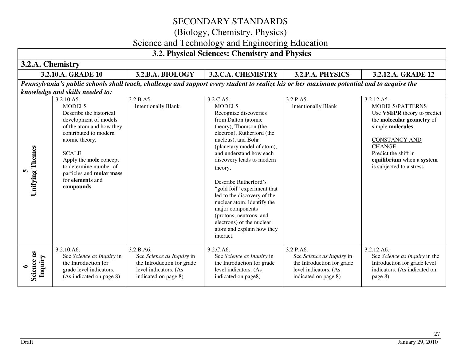# (Biology, Chemistry, Physics)

### Science and Technology and Engineering Education

| 3.2. Physical Sciences: Chemistry and Physics |                                                                                                                                                                                                                                                                            |                                                                                                                       |                                                                                                                                                                                                                                                                                                                                                                                                                                                                                        |                                                                                                                       |                                                                                                                                                                                                                             |  |  |
|-----------------------------------------------|----------------------------------------------------------------------------------------------------------------------------------------------------------------------------------------------------------------------------------------------------------------------------|-----------------------------------------------------------------------------------------------------------------------|----------------------------------------------------------------------------------------------------------------------------------------------------------------------------------------------------------------------------------------------------------------------------------------------------------------------------------------------------------------------------------------------------------------------------------------------------------------------------------------|-----------------------------------------------------------------------------------------------------------------------|-----------------------------------------------------------------------------------------------------------------------------------------------------------------------------------------------------------------------------|--|--|
| 3.2.A. Chemistry                              |                                                                                                                                                                                                                                                                            |                                                                                                                       |                                                                                                                                                                                                                                                                                                                                                                                                                                                                                        |                                                                                                                       |                                                                                                                                                                                                                             |  |  |
|                                               | 3.2.10.A. GRADE 10                                                                                                                                                                                                                                                         | <b>3.2.B.A. BIOLOGY</b>                                                                                               | 3.2.C.A. CHEMISTRY                                                                                                                                                                                                                                                                                                                                                                                                                                                                     | 3.2.P.A. PHYSICS                                                                                                      | 3.2.12.A. GRADE 12                                                                                                                                                                                                          |  |  |
|                                               | Pennsylvania's public schools shall teach, challenge and support every student to realize his or her maximum potential and to acquire the<br>knowledge and skills needed to:<br>3.2.B.A5.<br>3.2.C.A5.<br>3.2.10.A5.<br>3.2.P.A5.<br>3.2.12.A5.                            |                                                                                                                       |                                                                                                                                                                                                                                                                                                                                                                                                                                                                                        |                                                                                                                       |                                                                                                                                                                                                                             |  |  |
| <b>Unifying Themes</b><br>m                   | <b>MODELS</b><br>Describe the historical<br>development of models<br>of the atom and how they<br>contributed to modern<br>atomic theory.<br><b>SCALE</b><br>Apply the mole concept<br>to determine number of<br>particles and molar mass<br>for elements and<br>compounds. | <b>Intentionally Blank</b>                                                                                            | <b>MODELS</b><br>Recognize discoveries<br>from Dalton (atomic<br>theory), Thomson (the<br>electron), Rutherford (the<br>nucleus), and Bohr<br>(planetary model of atom),<br>and understand how each<br>discovery leads to modern<br>theory.<br>Describe Rutherford's<br>"gold foil" experiment that<br>led to the discovery of the<br>nuclear atom. Identify the<br>major components<br>(protons, neutrons, and<br>electrons) of the nuclear<br>atom and explain how they<br>interact. | <b>Intentionally Blank</b>                                                                                            | MODELS/PATTERNS<br>Use VSEPR theory to predict<br>the molecular geometry of<br>simple molecules.<br><b>CONSTANCY AND</b><br><b>CHANGE</b><br>Predict the shift in<br>equilibrium when a system<br>is subjected to a stress. |  |  |
| Science as<br>Inquiry<br>७                    | 3.2.10.A6.<br>See Science as Inquiry in<br>the Introduction for<br>grade level indicators.<br>(As indicated on page 8)                                                                                                                                                     | 3.2.B.A6.<br>See Science as Inquiry in<br>the Introduction for grade<br>level indicators. (As<br>indicated on page 8) | 3.2.C.A6.<br>See Science as Inquiry in<br>the Introduction for grade<br>level indicators. (As<br>indicated on page8)                                                                                                                                                                                                                                                                                                                                                                   | 3.2.P.A6.<br>See Science as Inquiry in<br>the Introduction for grade<br>level indicators. (As<br>indicated on page 8) | 3.2.12.A6.<br>See Science as Inquiry in the<br>Introduction for grade level<br>indicators. (As indicated on<br>page 8)                                                                                                      |  |  |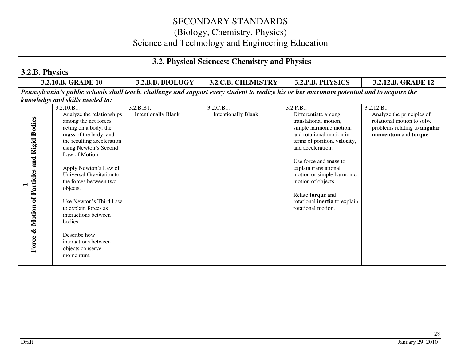| 3.2. Physical Sciences: Chemistry and Physics             |                                                                                                                                                                                                                                                                                                                                                                                                                                                     |                                         |                                         |                                                                                                                                                                                                                                                                                                                                                               |                                                                                                                               |  |  |  |  |
|-----------------------------------------------------------|-----------------------------------------------------------------------------------------------------------------------------------------------------------------------------------------------------------------------------------------------------------------------------------------------------------------------------------------------------------------------------------------------------------------------------------------------------|-----------------------------------------|-----------------------------------------|---------------------------------------------------------------------------------------------------------------------------------------------------------------------------------------------------------------------------------------------------------------------------------------------------------------------------------------------------------------|-------------------------------------------------------------------------------------------------------------------------------|--|--|--|--|
|                                                           | 3.2.B. Physics                                                                                                                                                                                                                                                                                                                                                                                                                                      |                                         |                                         |                                                                                                                                                                                                                                                                                                                                                               |                                                                                                                               |  |  |  |  |
|                                                           | 3.2.10.B. GRADE 10                                                                                                                                                                                                                                                                                                                                                                                                                                  | 3.2.B.B. BIOLOGY                        | 3.2.C.B. CHEMISTRY                      | 3.2.P.B. PHYSICS                                                                                                                                                                                                                                                                                                                                              | 3.2.12.B. GRADE 12                                                                                                            |  |  |  |  |
|                                                           |                                                                                                                                                                                                                                                                                                                                                                                                                                                     |                                         |                                         | Pennsylvania's public schools shall teach, challenge and support every student to realize his or her maximum potential and to acquire the                                                                                                                                                                                                                     |                                                                                                                               |  |  |  |  |
|                                                           | knowledge and skills needed to:                                                                                                                                                                                                                                                                                                                                                                                                                     |                                         |                                         |                                                                                                                                                                                                                                                                                                                                                               |                                                                                                                               |  |  |  |  |
| Motion of Particles and Rigid Bodies<br>$\infty$<br>Force | 3.2.10.B1.<br>Analyze the relationships<br>among the net forces<br>acting on a body, the<br>mass of the body, and<br>the resulting acceleration<br>using Newton's Second<br>Law of Motion.<br>Apply Newton's Law of<br>Universal Gravitation to<br>the forces between two<br>objects.<br>Use Newton's Third Law<br>to explain forces as<br>interactions between<br>bodies.<br>Describe how<br>interactions between<br>objects conserve<br>momentum. | 3.2.B.B1.<br><b>Intentionally Blank</b> | 3.2.C.B1.<br><b>Intentionally Blank</b> | 3.2.P.B1.<br>Differentiate among<br>translational motion,<br>simple harmonic motion,<br>and rotational motion in<br>terms of position, velocity,<br>and acceleration.<br>Use force and <b>mass</b> to<br>explain translational<br>motion or simple harmonic<br>motion of objects.<br>Relate torque and<br>rotational inertia to explain<br>rotational motion. | 3.2.12.B1.<br>Analyze the principles of<br>rotational motion to solve<br>problems relating to angular<br>momentum and torque. |  |  |  |  |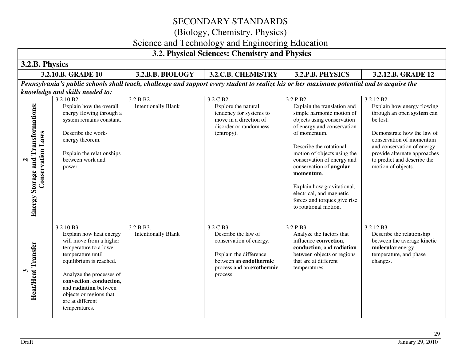### (Biology, Chemistry, Physics)

### Science and Technology and Engineering Education

#### **3.2. Physical Sciences: Chemistry and Physics 3.2.B. Physics 3.2.10.B. GRADE 10 3.2.B.B. BIOLOGY 3.2.C.B. CHEMISTRY 3.2.P.B. PHYSICS 3.2.12.B. GRADE 12** *Pennsylvania's public schools shall teach, challenge and support every student to realize his or her maximum potential and to acquire the knowledge and skills needed to:*3.2.10.B2. 3.2.B.B2. 3.2.C.B2. 3.2.P.B2. 3.2.12.B2. **Energy Storage and Transformations: Energy Storage and Transformations:**  Intentionally Blank Explain the translation and Explain how energy flowing Explain how the overall Explore the natural energy flowing through a tendency for systems to simple harmonic motion of through an open **system** can system remains constant. move in a direction of objects using conservation be lost. disorder or randomness of energy and conservation **Conservation Laws Conservation Laws** of momentum. Describe the work-(entropy). Demonstrate how the law of energy theorem. conservation of momentum Describe the rotational and conservation of energy Explain the relationships motion of objects using the provide alternate approaches between work and conservation of energy and to predict and describe the  $\sim$ power. conservation of **angular**motion of objects. **momentum**. Explain how gravitational, electrical, and magnetic forces and torques give rise to rotational motion. 3.2.10.B3. 3.2.B.B3. 3.2.C.B3. 3.2.P.B3. 3.2.12.B3. Explain how heat energy Intentionally Blank Describe the law of Analyze the factors that Describe the relationship will move from a higher conservation of energy. influence **convection**, between the average kinetic **Heat/Heat Transfer Heat/Heat Transfer** temperature to a lower **conduction**, and **radiationmolecular** energy, temperature until temperature, and phase Explain the difference between objects or regions that are at different equilibrium is reached. between an **endothermic**changes. temperatures. process and an **exothermic** $\mathbf{\hat{5}}$ Analyze the processes of process. **convection**, **conduction**, and **radiation** between objects or regions that are at different temperatures.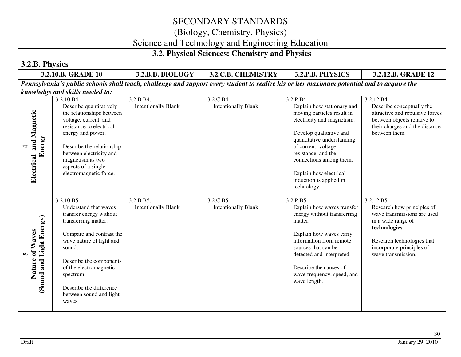(Biology, Chemistry, Physics)

### Science and Technology and Engineering Education

| 3.2. Physical Sciences: Chemistry and Physics         |                                                                                                                                                                                                                                                                                            |                                         |                                         |                                                                                                                                                                                                                                                                                               |                                                                                                                                                                                                 |  |  |  |
|-------------------------------------------------------|--------------------------------------------------------------------------------------------------------------------------------------------------------------------------------------------------------------------------------------------------------------------------------------------|-----------------------------------------|-----------------------------------------|-----------------------------------------------------------------------------------------------------------------------------------------------------------------------------------------------------------------------------------------------------------------------------------------------|-------------------------------------------------------------------------------------------------------------------------------------------------------------------------------------------------|--|--|--|
|                                                       | 3.2.B. Physics                                                                                                                                                                                                                                                                             |                                         |                                         |                                                                                                                                                                                                                                                                                               |                                                                                                                                                                                                 |  |  |  |
|                                                       | 3.2.10.B. GRADE 10                                                                                                                                                                                                                                                                         | 3.2.B.B. BIOLOGY                        | 3.2.C.B. CHEMISTRY                      | 3.2.P.B. PHYSICS                                                                                                                                                                                                                                                                              | 3.2.12.B. GRADE 12                                                                                                                                                                              |  |  |  |
|                                                       |                                                                                                                                                                                                                                                                                            |                                         |                                         | Pennsylvania's public schools shall teach, challenge and support every student to realize his or her maximum potential and to acquire the                                                                                                                                                     |                                                                                                                                                                                                 |  |  |  |
|                                                       | knowledge and skills needed to:<br>3.2.10.B4.                                                                                                                                                                                                                                              | 3.2.B.B4.                               | 3.2.C.B4.                               | 3.2.P.B4.                                                                                                                                                                                                                                                                                     | 3.2.12.B4.                                                                                                                                                                                      |  |  |  |
| and Magnetic<br>Energy<br>4<br>Electrical             | Describe quantitatively<br>the relationships between<br>voltage, current, and<br>resistance to electrical<br>energy and power.<br>Describe the relationship<br>between electricity and<br>magnetism as two<br>aspects of a single<br>electromagnetic force.                                | <b>Intentionally Blank</b>              | <b>Intentionally Blank</b>              | Explain how stationary and<br>moving particles result in<br>electricity and magnetism.<br>Develop qualitative and<br>quantitative understanding<br>of current, voltage,<br>resistance, and the<br>connections among them.<br>Explain how electrical<br>induction is applied in<br>technology. | Describe conceptually the<br>attractive and repulsive forces<br>between objects relative to<br>their charges and the distance<br>between them.                                                  |  |  |  |
| Light Energy)<br>of Waves<br>m<br>Nature<br>Sound and | 3.2.10.B5.<br>Understand that waves<br>transfer energy without<br>transferring matter.<br>Compare and contrast the<br>wave nature of light and<br>sound.<br>Describe the components<br>of the electromagnetic<br>spectrum.<br>Describe the difference<br>between sound and light<br>waves. | 3.2.B.B5.<br><b>Intentionally Blank</b> | 3.2.C.B5.<br><b>Intentionally Blank</b> | 3.2.P.B5.<br>Explain how waves transfer<br>energy without transferring<br>matter.<br>Explain how waves carry<br>information from remote<br>sources that can be<br>detected and interpreted.<br>Describe the causes of<br>wave frequency, speed, and<br>wave length.                           | 3.2.12.B5.<br>Research how principles of<br>wave transmissions are used<br>in a wide range of<br>technologies.<br>Research technologies that<br>incorporate principles of<br>wave transmission. |  |  |  |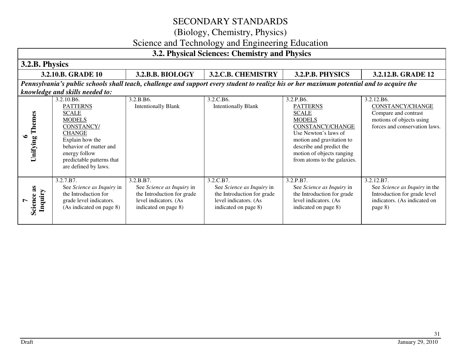(Biology, Chemistry, Physics)

### Science and Technology and Engineering Education

#### **3.2. Physical Sciences: Chemistry and Physics 3.2.B. Physics 3.2.10.B. GRADE 10 3.2.B.B. BIOLOGY 3.2.C.B. CHEMISTRY 3.2.P.B. PHYSICS 3.2.12.B. GRADE 12** *Pennsylvania's public schools shall teach, challenge and support every student to realize his or her maximum potential and to acquire the knowledge and skills needed to:*3.2.B.B6. 3.2.C.B6. 3.2.10.B6. 3.2.P.B6. 3.2.12.B6. Intentionally Blank PATTERNS Intentionally Blank PATTERNSCONSTANCY/CHANGE**Unifying Themes Unifying Themes SCALE SCALE** Compare and contrast motions of objects using MODELS MODELS forces and conservation laws. CONSTANCY/ CONSTANCY/CHANGEUse Newton's laws of CHANGE**6**  motion and gravitation to Explain how the behavior of matter and describe and predict the energy follow motion of objects ranging predictable patterns that from atoms to the galaxies. are defined by laws. 3.2.7.B7. 3.2.C.B7. 3.2.P.B7. 3.2.B.B7. 3.2.12.B7. **Science as**  See *Science as Inquiry* in See *Science as Inquiry* in See *Science as Inquiry* in See *Science as Inquiry* in See *Science as Inquiry* in the Science as **Inquiry**  the Introduction for the Introduction for grade the Introduction for grade the Introduction for grade Introduction for grade level grade level indicators. level indicators. (As level indicators. (As level indicators. (As indicators. (As indicated on **7**  (As indicated on page 8) indicated on page 8) indicated on page 8) indicated on page 8) page 8)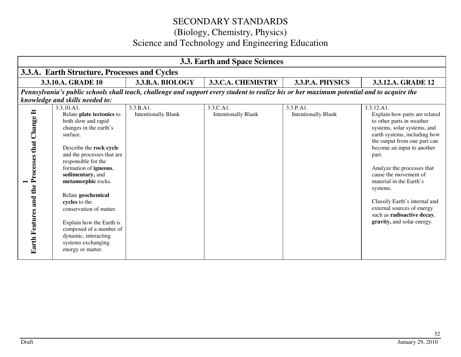| 3.3. Earth and Space Sciences                   |                                                                                                                                                                                                                                                                                                                                                                                                                                                     |                                         |                                                                                                                                           |                                         |                                                                                                                                                                                                                                                                                                                                                                                                                                         |  |  |
|-------------------------------------------------|-----------------------------------------------------------------------------------------------------------------------------------------------------------------------------------------------------------------------------------------------------------------------------------------------------------------------------------------------------------------------------------------------------------------------------------------------------|-----------------------------------------|-------------------------------------------------------------------------------------------------------------------------------------------|-----------------------------------------|-----------------------------------------------------------------------------------------------------------------------------------------------------------------------------------------------------------------------------------------------------------------------------------------------------------------------------------------------------------------------------------------------------------------------------------------|--|--|
|                                                 | 3.3.A. Earth Structure, Processes and Cycles                                                                                                                                                                                                                                                                                                                                                                                                        |                                         |                                                                                                                                           |                                         |                                                                                                                                                                                                                                                                                                                                                                                                                                         |  |  |
|                                                 | 3.3.10.A. GRADE 10                                                                                                                                                                                                                                                                                                                                                                                                                                  | 3.3.B.A. BIOLOGY                        | 3.3.C.A. CHEMISTRY                                                                                                                        | 3.3.P.A. PHYSICS                        | 3.3.12.A. GRADE 12                                                                                                                                                                                                                                                                                                                                                                                                                      |  |  |
|                                                 |                                                                                                                                                                                                                                                                                                                                                                                                                                                     |                                         | Pennsylvania's public schools shall teach, challenge and support every student to realize his or her maximum potential and to acquire the |                                         |                                                                                                                                                                                                                                                                                                                                                                                                                                         |  |  |
|                                                 | knowledge and skills needed to:                                                                                                                                                                                                                                                                                                                                                                                                                     |                                         |                                                                                                                                           |                                         |                                                                                                                                                                                                                                                                                                                                                                                                                                         |  |  |
| Earth Features and the Processes that Change It | 3.3.10.A1.<br>Relate plate tectonics to<br>both slow and rapid<br>changes in the earth's<br>surface.<br>Describe the rock cycle<br>and the processes that are<br>responsible for the<br>formation of igneous,<br>sedimentary, and<br>metamorphic rocks.<br>Relate geochemical<br>cycles to the<br>conservation of matter.<br>Explain how the Earth is<br>composed of a number of<br>dynamic, interacting<br>systems exchanging<br>energy or matter. | 3.3.B.A1.<br><b>Intentionally Blank</b> | 3.3.C.A1.<br><b>Intentionally Blank</b>                                                                                                   | 3.3.P.A1.<br><b>Intentionally Blank</b> | 3.3.12.A1.<br>Explain how parts are related<br>to other parts in weather<br>systems, solar systems, and<br>earth systems, including how<br>the output from one part can<br>become an input to another<br>part.<br>Analyze the processes that<br>cause the movement of<br>material in the Earth's<br>systems.<br>Classify Earth's internal and<br>external sources of energy<br>such as radioactive decay,<br>gravity, and solar energy. |  |  |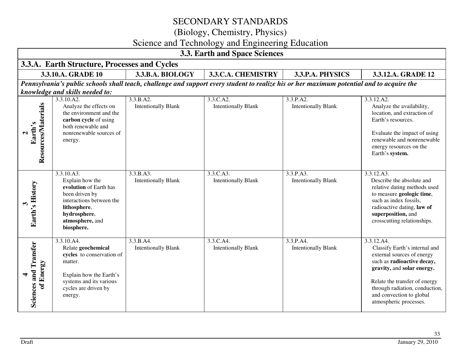(Biology, Chemistry, Physics)

### Science and Technology and Engineering Education

| 3.3. Earth and Space Sciences             |                                                                                                                                                                        |                                         |                                                                                                                                           |                                         |                                                                                                                                                                                                                                                                |  |  |  |
|-------------------------------------------|------------------------------------------------------------------------------------------------------------------------------------------------------------------------|-----------------------------------------|-------------------------------------------------------------------------------------------------------------------------------------------|-----------------------------------------|----------------------------------------------------------------------------------------------------------------------------------------------------------------------------------------------------------------------------------------------------------------|--|--|--|
|                                           | 3.3.A. Earth Structure, Processes and Cycles                                                                                                                           |                                         |                                                                                                                                           |                                         |                                                                                                                                                                                                                                                                |  |  |  |
|                                           | 3.3.10.A. GRADE 10                                                                                                                                                     | 3.3.B.A. BIOLOGY                        | 3.3.C.A. CHEMISTRY                                                                                                                        | 3.3.P.A. PHYSICS                        | 3.3.12.A. GRADE 12                                                                                                                                                                                                                                             |  |  |  |
|                                           |                                                                                                                                                                        |                                         | Pennsylvania's public schools shall teach, challenge and support every student to realize his or her maximum potential and to acquire the |                                         |                                                                                                                                                                                                                                                                |  |  |  |
|                                           | knowledge and skills needed to:                                                                                                                                        |                                         |                                                                                                                                           |                                         |                                                                                                                                                                                                                                                                |  |  |  |
| Resources/Materials<br>Earth's            | 3.3.10.A2.<br>Analyze the effects on<br>the environment and the<br>carbon cycle of using<br>both renewable and<br>nonrenewable sources of<br>energy.                   | 3.3.B.A2.<br><b>Intentionally Blank</b> | 3.3.C.A2.<br><b>Intentionally Blank</b>                                                                                                   | 3.3.P.A2.<br><b>Intentionally Blank</b> | 3.3.12.A2.<br>Analyze the availability,<br>location, and extraction of<br>Earth's resources.<br>Evaluate the impact of using<br>renewable and nonrenewable<br>energy resources on the<br>Earth's system.                                                       |  |  |  |
| Earth's History                           | 3.3.10.A3.<br>Explain how the<br>evolution of Earth has<br>been driven by<br>interactions between the<br>lithosphere,<br>hydrosphere,<br>atmosphere, and<br>biosphere. | 3.3.B.A3.<br><b>Intentionally Blank</b> | 3.3.C.A3.<br><b>Intentionally Blank</b>                                                                                                   | 3.3.P.A3.<br><b>Intentionally Blank</b> | 3.3.12.A3.<br>Describe the absolute and<br>relative dating methods used<br>to measure geologic time,<br>such as index fossils,<br>radioactive dating, law of<br>superposition, and<br>crosscutting relationships.                                              |  |  |  |
| <b>Sciences and Transfer</b><br>of Energy | 3.3.10.A4.<br>Relate geochemical<br>cycles to conservation of<br>matter.<br>Explain how the Earth's<br>systems and its various<br>cycles are driven by<br>energy.      | 3.3.B.A4.<br><b>Intentionally Blank</b> | 3.3.C.A4.<br><b>Intentionally Blank</b>                                                                                                   | 3.3.P.A4.<br><b>Intentionally Blank</b> | 3.3.12.A4.<br>Classify Earth's internal and<br>external sources of energy<br>such as radioactive decay,<br>gravity, and solar energy.<br>Relate the transfer of energy<br>through radiation, conduction,<br>and convection to global<br>atmospheric processes. |  |  |  |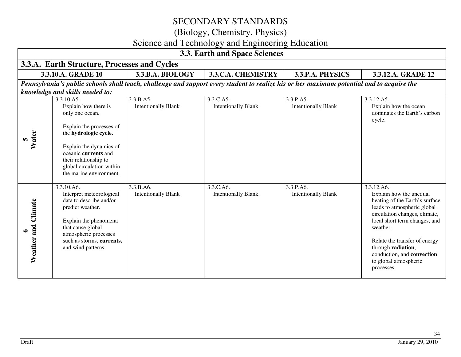(Biology, Chemistry, Physics)

# Science and Technology and Engineering Education

| 3.3. Earth and Space Sciences |                                                                                                                                                                                                                                                |                                         |                                                                                                                                           |                                         |                                                                                                                                                                                                                                                                                                                  |  |  |
|-------------------------------|------------------------------------------------------------------------------------------------------------------------------------------------------------------------------------------------------------------------------------------------|-----------------------------------------|-------------------------------------------------------------------------------------------------------------------------------------------|-----------------------------------------|------------------------------------------------------------------------------------------------------------------------------------------------------------------------------------------------------------------------------------------------------------------------------------------------------------------|--|--|
|                               | 3.3.A. Earth Structure, Processes and Cycles                                                                                                                                                                                                   |                                         |                                                                                                                                           |                                         |                                                                                                                                                                                                                                                                                                                  |  |  |
|                               | 3.3.10.A. GRADE 10                                                                                                                                                                                                                             | 3.3.B.A. BIOLOGY                        | 3.3.C.A. CHEMISTRY                                                                                                                        | 3.3.P.A. PHYSICS                        | 3.3.12.A. GRADE 12                                                                                                                                                                                                                                                                                               |  |  |
|                               |                                                                                                                                                                                                                                                |                                         | Pennsylvania's public schools shall teach, challenge and support every student to realize his or her maximum potential and to acquire the |                                         |                                                                                                                                                                                                                                                                                                                  |  |  |
|                               | knowledge and skills needed to:                                                                                                                                                                                                                |                                         |                                                                                                                                           |                                         |                                                                                                                                                                                                                                                                                                                  |  |  |
| Water                         | 3.3.10.A5.<br>Explain how there is<br>only one ocean.<br>Explain the processes of<br>the hydrologic cycle.<br>Explain the dynamics of<br>oceanic currents and<br>their relationship to<br>global circulation within<br>the marine environment. | 3.3.B.A5.<br><b>Intentionally Blank</b> | 3.3.C.A5.<br><b>Intentionally Blank</b>                                                                                                   | 3.3.P.A5.<br><b>Intentionally Blank</b> | 3.3.12.A5.<br>Explain how the ocean<br>dominates the Earth's carbon<br>cycle.                                                                                                                                                                                                                                    |  |  |
| Climate<br>Weather and        | 3.3.10.A6.<br>Interpret meteorological<br>data to describe and/or<br>predict weather.<br>Explain the phenomena<br>that cause global<br>atmospheric processes<br>such as storms, currents,<br>and wind patterns.                                | 3.3.B.A6.<br><b>Intentionally Blank</b> | 3.3.C.A6.<br><b>Intentionally Blank</b>                                                                                                   | 3.3.P.A6.<br><b>Intentionally Blank</b> | 3.3.12.A6.<br>Explain how the unequal<br>heating of the Earth's surface<br>leads to atmospheric global<br>circulation changes, climate,<br>local short term changes, and<br>weather.<br>Relate the transfer of energy<br>through radiation,<br>conduction, and convection<br>to global atmospheric<br>processes. |  |  |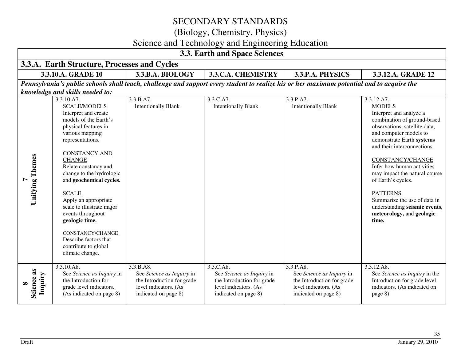(Biology, Chemistry, Physics)

# Science and Technology and Engineering Education

| 3.3. Earth and Space Sciences |                                                                                                                                                                                                                                                                                                                                                                                                                                                                                             |                                                                                                                       |                                                                                                                                           |                                                                                                                       |                                                                                                                                                                                                                                                                                                                                                                                                                                                        |  |  |  |
|-------------------------------|---------------------------------------------------------------------------------------------------------------------------------------------------------------------------------------------------------------------------------------------------------------------------------------------------------------------------------------------------------------------------------------------------------------------------------------------------------------------------------------------|-----------------------------------------------------------------------------------------------------------------------|-------------------------------------------------------------------------------------------------------------------------------------------|-----------------------------------------------------------------------------------------------------------------------|--------------------------------------------------------------------------------------------------------------------------------------------------------------------------------------------------------------------------------------------------------------------------------------------------------------------------------------------------------------------------------------------------------------------------------------------------------|--|--|--|
|                               | 3.3.A. Earth Structure, Processes and Cycles                                                                                                                                                                                                                                                                                                                                                                                                                                                |                                                                                                                       |                                                                                                                                           |                                                                                                                       |                                                                                                                                                                                                                                                                                                                                                                                                                                                        |  |  |  |
|                               | 3.3.10.A. GRADE 10<br>3.3.C.A. CHEMISTRY<br>3.3.B.A. BIOLOGY<br>3.3.P.A. PHYSICS<br>3.3.12.A. GRADE 12                                                                                                                                                                                                                                                                                                                                                                                      |                                                                                                                       |                                                                                                                                           |                                                                                                                       |                                                                                                                                                                                                                                                                                                                                                                                                                                                        |  |  |  |
|                               |                                                                                                                                                                                                                                                                                                                                                                                                                                                                                             |                                                                                                                       | Pennsylvania's public schools shall teach, challenge and support every student to realize his or her maximum potential and to acquire the |                                                                                                                       |                                                                                                                                                                                                                                                                                                                                                                                                                                                        |  |  |  |
|                               | knowledge and skills needed to:                                                                                                                                                                                                                                                                                                                                                                                                                                                             |                                                                                                                       |                                                                                                                                           |                                                                                                                       |                                                                                                                                                                                                                                                                                                                                                                                                                                                        |  |  |  |
| <b>Unifying Themes</b>        | $\overline{3.3.10. A7}.$<br><b>SCALE/MODELS</b><br>Interpret and create<br>models of the Earth's<br>physical features in<br>various mapping<br>representations.<br><b>CONSTANCY AND</b><br><b>CHANGE</b><br>Relate constancy and<br>change to the hydrologic<br>and geochemical cycles.<br><b>SCALE</b><br>Apply an appropriate<br>scale to illustrate major<br>events throughout<br>geologic time.<br>CONSTANCY/CHANGE<br>Describe factors that<br>contribute to global<br>climate change. | 3.3.B.A7.<br><b>Intentionally Blank</b>                                                                               | 3.3.C.A7.<br><b>Intentionally Blank</b>                                                                                                   | 3.3.P.A7.<br><b>Intentionally Blank</b>                                                                               | 3.3.12.A7.<br><b>MODELS</b><br>Interpret and analyze a<br>combination of ground-based<br>observations, satellite data,<br>and computer models to<br>demonstrate Earth systems<br>and their interconnections.<br><b>CONSTANCY/CHANGE</b><br>Infer how human activities<br>may impact the natural course<br>of Earth's cycles.<br><b>PATTERNS</b><br>Summarize the use of data in<br>understanding seismic events,<br>meteorology, and geologic<br>time. |  |  |  |
| Science as<br>Inquiry         | 3.3.10.A8.<br>See Science as Inquiry in<br>the Introduction for<br>grade level indicators.<br>(As indicated on page 8)                                                                                                                                                                                                                                                                                                                                                                      | 3.3.B.A8.<br>See Science as Inquiry in<br>the Introduction for grade<br>level indicators. (As<br>indicated on page 8) | 3.3.C.A8.<br>See Science as Inquiry in<br>the Introduction for grade<br>level indicators. (As<br>indicated on page 8)                     | 3.3.P.A8.<br>See Science as Inquiry in<br>the Introduction for grade<br>level indicators. (As<br>indicated on page 8) | 3.3.12.A8.<br>See Science as Inquiry in the<br>Introduction for grade level<br>indicators. (As indicated on<br>page 8)                                                                                                                                                                                                                                                                                                                                 |  |  |  |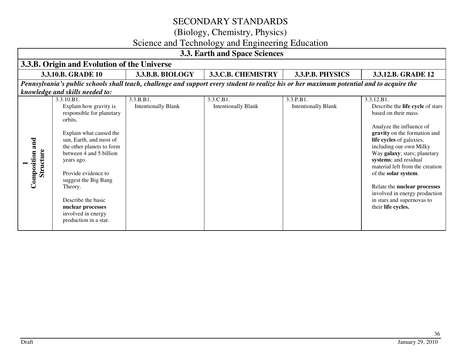(Biology, Chemistry, Physics)

# Science and Technology and Engineering Education

|                              | 3.3. Earth and Space Sciences                                                                                                                                                                                                                                                                                                                                |                                         |                                                                                                                                           |                                         |                                                                                                                                                                                                                                                                                                                                                                                                                                           |  |  |
|------------------------------|--------------------------------------------------------------------------------------------------------------------------------------------------------------------------------------------------------------------------------------------------------------------------------------------------------------------------------------------------------------|-----------------------------------------|-------------------------------------------------------------------------------------------------------------------------------------------|-----------------------------------------|-------------------------------------------------------------------------------------------------------------------------------------------------------------------------------------------------------------------------------------------------------------------------------------------------------------------------------------------------------------------------------------------------------------------------------------------|--|--|
|                              | 3.3.B. Origin and Evolution of the Universe                                                                                                                                                                                                                                                                                                                  |                                         |                                                                                                                                           |                                         |                                                                                                                                                                                                                                                                                                                                                                                                                                           |  |  |
|                              | 3.3.10.B. GRADE 10                                                                                                                                                                                                                                                                                                                                           | 3.3.B.B. BIOLOGY                        | 3.3.C.B. CHEMISTRY                                                                                                                        | 3.3.P.B. PHYSICS                        | 3.3.12.B. GRADE 12                                                                                                                                                                                                                                                                                                                                                                                                                        |  |  |
|                              |                                                                                                                                                                                                                                                                                                                                                              |                                         | Pennsylvania's public schools shall teach, challenge and support every student to realize his or her maximum potential and to acquire the |                                         |                                                                                                                                                                                                                                                                                                                                                                                                                                           |  |  |
|                              | knowledge and skills needed to:                                                                                                                                                                                                                                                                                                                              |                                         |                                                                                                                                           |                                         |                                                                                                                                                                                                                                                                                                                                                                                                                                           |  |  |
| Composition and<br>Structure | 3.3.10.B1.<br>Explain how gravity is<br>responsible for planetary<br>orbits.<br>Explain what caused the<br>sun, Earth, and most of<br>the other planets to form<br>between 4 and 5 billion<br>years ago.<br>Provide evidence to<br>suggest the Big Bang<br>Theory.<br>Describe the basic<br>nuclear processes<br>involved in energy<br>production in a star. | 3.3.B.B1.<br><b>Intentionally Blank</b> | 3.3.C.B1.<br><b>Intentionally Blank</b>                                                                                                   | 3.3.P.B1.<br><b>Intentionally Blank</b> | 3.3.12.B1.<br>Describe the <b>life cycle</b> of stars<br>based on their mass.<br>Analyze the influence of<br>gravity on the formation and<br>life cycles of galaxies,<br>including our own Milky<br>Way galaxy; stars; planetary<br>systems; and residual<br>material left from the creation<br>of the solar system.<br>Relate the nuclear processes<br>involved in energy production<br>in stars and supernovas to<br>their life cycles. |  |  |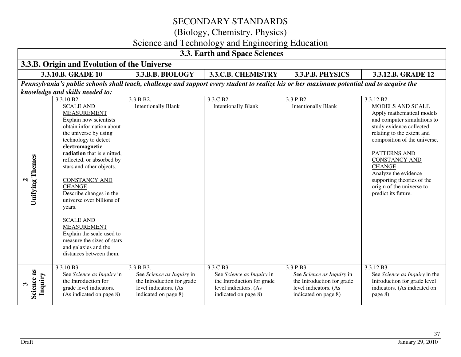(Biology, Chemistry, Physics)

# Science and Technology and Engineering Education

| 3.3. Earth and Space Sciences          |                                                                                                                                                                                                                                                                                                                                                                                                                                                                                                                                          |                                                                                                                                           |                                                                                                                       |                                                                                                                       |                                                                                                                                                                                                                                                                                                                                                         |  |  |
|----------------------------------------|------------------------------------------------------------------------------------------------------------------------------------------------------------------------------------------------------------------------------------------------------------------------------------------------------------------------------------------------------------------------------------------------------------------------------------------------------------------------------------------------------------------------------------------|-------------------------------------------------------------------------------------------------------------------------------------------|-----------------------------------------------------------------------------------------------------------------------|-----------------------------------------------------------------------------------------------------------------------|---------------------------------------------------------------------------------------------------------------------------------------------------------------------------------------------------------------------------------------------------------------------------------------------------------------------------------------------------------|--|--|
|                                        | 3.3.B. Origin and Evolution of the Universe                                                                                                                                                                                                                                                                                                                                                                                                                                                                                              |                                                                                                                                           |                                                                                                                       |                                                                                                                       |                                                                                                                                                                                                                                                                                                                                                         |  |  |
|                                        | 3.3.10.B. GRADE 10                                                                                                                                                                                                                                                                                                                                                                                                                                                                                                                       | 3.3.B.B. BIOLOGY                                                                                                                          | 3.3.C.B. CHEMISTRY                                                                                                    | 3.3.P.B. PHYSICS                                                                                                      | 3.3.12.B. GRADE 12                                                                                                                                                                                                                                                                                                                                      |  |  |
|                                        |                                                                                                                                                                                                                                                                                                                                                                                                                                                                                                                                          | Pennsylvania's public schools shall teach, challenge and support every student to realize his or her maximum potential and to acquire the |                                                                                                                       |                                                                                                                       |                                                                                                                                                                                                                                                                                                                                                         |  |  |
|                                        | knowledge and skills needed to:                                                                                                                                                                                                                                                                                                                                                                                                                                                                                                          |                                                                                                                                           |                                                                                                                       |                                                                                                                       |                                                                                                                                                                                                                                                                                                                                                         |  |  |
| <b>Unifying Themes</b><br>$\mathbf{a}$ | 3.3.10.B2.<br><b>SCALE AND</b><br><b>MEASUREMENT</b><br>Explain how scientists<br>obtain information about<br>the universe by using<br>technology to detect<br>electromagnetic<br>radiation that is emitted,<br>reflected, or absorbed by<br>stars and other objects.<br><b>CONSTANCY AND</b><br><b>CHANGE</b><br>Describe changes in the<br>universe over billions of<br>years.<br><b>SCALE AND</b><br><b>MEASUREMENT</b><br>Explain the scale used to<br>measure the sizes of stars<br>and galaxies and the<br>distances between them. | 3.3.B.B2.<br><b>Intentionally Blank</b>                                                                                                   | 3.3.C.B2.<br><b>Intentionally Blank</b>                                                                               | 3.3.P.B2.<br><b>Intentionally Blank</b>                                                                               | 3.3.12.B2.<br>MODELS AND SCALE<br>Apply mathematical models<br>and computer simulations to<br>study evidence collected<br>relating to the extent and<br>composition of the universe.<br>PATTERNS AND<br><b>CONSTANCY AND</b><br><b>CHANGE</b><br>Analyze the evidence<br>supporting theories of the<br>origin of the universe to<br>predict its future. |  |  |
| Science as<br>Inquiry                  | 3.3.10.B3.<br>See Science as Inquiry in<br>the Introduction for<br>grade level indicators.<br>(As indicated on page 8)                                                                                                                                                                                                                                                                                                                                                                                                                   | 3.3.B.B3.<br>See Science as Inquiry in<br>the Introduction for grade<br>level indicators. (As<br>indicated on page 8)                     | 3.3.C.B3.<br>See Science as Inquiry in<br>the Introduction for grade<br>level indicators. (As<br>indicated on page 8) | 3.3.P.B3.<br>See Science as Inquiry in<br>the Introduction for grade<br>level indicators. (As<br>indicated on page 8) | 3.3.12.B3.<br>See Science as Inquiry in the<br>Introduction for grade level<br>indicators. (As indicated on<br>page 8)                                                                                                                                                                                                                                  |  |  |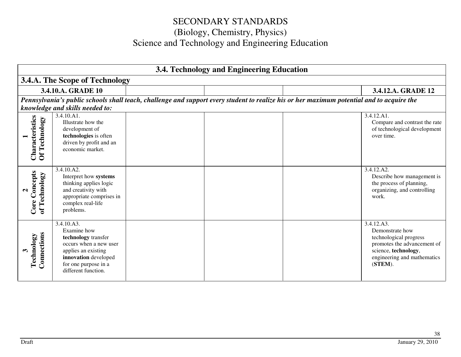| 3.4. Technology and Engineering Education             |                                                                                                                                                                          |  |  |                                                                                                                                           |                                                                                                                                                             |
|-------------------------------------------------------|--------------------------------------------------------------------------------------------------------------------------------------------------------------------------|--|--|-------------------------------------------------------------------------------------------------------------------------------------------|-------------------------------------------------------------------------------------------------------------------------------------------------------------|
|                                                       | 3.4.A. The Scope of Technology                                                                                                                                           |  |  |                                                                                                                                           |                                                                                                                                                             |
|                                                       | 3.4.10.A. GRADE 10                                                                                                                                                       |  |  |                                                                                                                                           | 3.4.12.A. GRADE 12                                                                                                                                          |
|                                                       |                                                                                                                                                                          |  |  | Pennsylvania's public schools shall teach, challenge and support every student to realize his or her maximum potential and to acquire the |                                                                                                                                                             |
|                                                       | knowledge and skills needed to:                                                                                                                                          |  |  |                                                                                                                                           |                                                                                                                                                             |
| Characteristics<br>Of Technology                      | 3.4.10.A1.<br>Illustrate how the<br>development of<br>technologies is often<br>driven by profit and an<br>economic market.                                               |  |  |                                                                                                                                           | 3.4.12.A1.<br>Compare and contrast the rate<br>of technological development<br>over time.                                                                   |
| oncepts<br>of Technology<br>$\mathbf{\Omega}$<br>Core | 3.4.10.A2.<br>Interpret how systems<br>thinking applies logic<br>and creativity with<br>appropriate comprises in<br>complex real-life<br>problems.                       |  |  |                                                                                                                                           | 3.4.12.A2.<br>Describe how management is<br>the process of planning,<br>organizing, and controlling<br>work.                                                |
| Connections<br>Technology                             | 3.4.10.A3.<br>Examine how<br>technology transfer<br>occurs when a new user<br>applies an existing<br>innovation developed<br>for one purpose in a<br>different function. |  |  |                                                                                                                                           | 3.4.12.A3.<br>Demonstrate how<br>technological progress<br>promotes the advancement of<br>science, technology,<br>engineering and mathematics<br>$(STEM)$ . |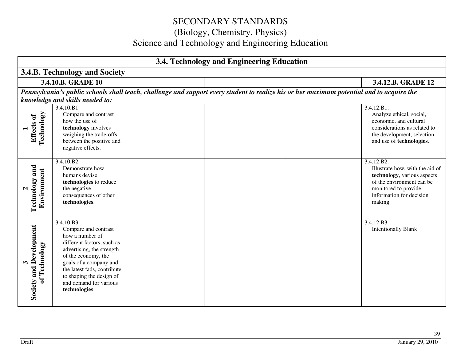| 3.4. Technology and Engineering Education             |                                                                                                                                                                                                                                                                         |  |  |                                                                                                                                           |                                                                                                                                                                          |  |  |  |
|-------------------------------------------------------|-------------------------------------------------------------------------------------------------------------------------------------------------------------------------------------------------------------------------------------------------------------------------|--|--|-------------------------------------------------------------------------------------------------------------------------------------------|--------------------------------------------------------------------------------------------------------------------------------------------------------------------------|--|--|--|
|                                                       | 3.4.B. Technology and Society                                                                                                                                                                                                                                           |  |  |                                                                                                                                           |                                                                                                                                                                          |  |  |  |
|                                                       | 3.4.10.B. GRADE 10                                                                                                                                                                                                                                                      |  |  |                                                                                                                                           | 3.4.12.B. GRADE 12                                                                                                                                                       |  |  |  |
|                                                       |                                                                                                                                                                                                                                                                         |  |  | Pennsylvania's public schools shall teach, challenge and support every student to realize his or her maximum potential and to acquire the |                                                                                                                                                                          |  |  |  |
|                                                       | knowledge and skills needed to:                                                                                                                                                                                                                                         |  |  |                                                                                                                                           |                                                                                                                                                                          |  |  |  |
| <b>Technology</b><br>Effects of                       | 3.4.10.B1.<br>Compare and contrast<br>how the use of<br>technology involves<br>weighing the trade-offs<br>between the positive and<br>negative effects.                                                                                                                 |  |  |                                                                                                                                           | 3.4.12.B1.<br>Analyze ethical, social,<br>economic, and cultural<br>considerations as related to<br>the development, selection,<br>and use of technologies.              |  |  |  |
| and<br>Environment<br>Technology<br>$\mathbf{\Omega}$ | 3.4.10.B2.<br>Demonstrate how<br>humans devise<br>technologies to reduce<br>the negative<br>consequences of other<br>technologies.                                                                                                                                      |  |  |                                                                                                                                           | 3.4.12.B2.<br>Illustrate how, with the aid of<br>technology, various aspects<br>of the environment can be<br>monitored to provide<br>information for decision<br>making. |  |  |  |
| Development<br>of Technology<br>and<br>Society        | 3.4.10.B3.<br>Compare and contrast<br>how a number of<br>different factors, such as<br>advertising, the strength<br>of the economy, the<br>goals of a company and<br>the latest fads, contribute<br>to shaping the design of<br>and demand for various<br>technologies. |  |  |                                                                                                                                           | 3.4.12.B3.<br><b>Intentionally Blank</b>                                                                                                                                 |  |  |  |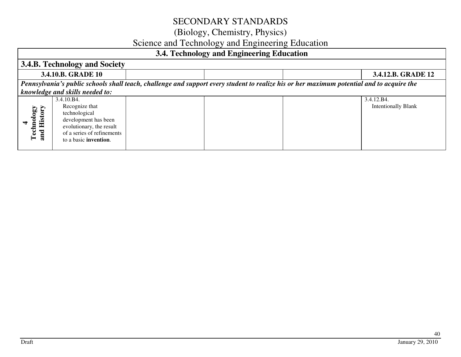### (Biology, Chemistry, Physics)

### Science and Technology and Engineering Education

### **3.4. Technology and Engineering Education 3.4.B. Technology and Society 3.4.10.B. GRADE 10 3.4.12.B. GRADE 12** *Pennsylvania's public schools shall teach, challenge and support every student to realize his or her maximum potential and to acquire the knowledge and skills needed to:*3.4.10.B4. 3.4.12.B4. **Technology**<br>and History Recognize that Intentionally Blank **and History Technology**  technological development has been **4**  evolutionary, the result of a series of refinements to a basic **invention**.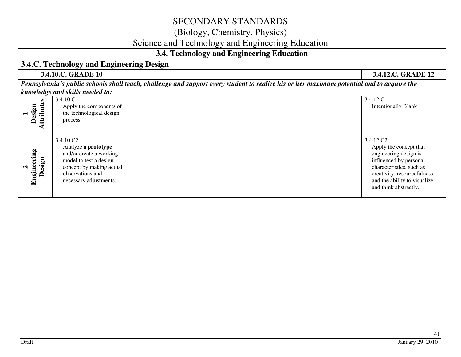# (Biology, Chemistry, Physics)

### Science and Technology and Engineering Education

|                                            | 3.4. Technology and Engineering Education                                                                                                                               |  |  |                                                                                                                                           |                                                                                                                                                                                                              |  |  |
|--------------------------------------------|-------------------------------------------------------------------------------------------------------------------------------------------------------------------------|--|--|-------------------------------------------------------------------------------------------------------------------------------------------|--------------------------------------------------------------------------------------------------------------------------------------------------------------------------------------------------------------|--|--|
|                                            | 3.4.C. Technology and Engineering Design                                                                                                                                |  |  |                                                                                                                                           |                                                                                                                                                                                                              |  |  |
|                                            | 3.4.10.C. GRADE 10                                                                                                                                                      |  |  |                                                                                                                                           | 3.4.12.C. GRADE 12                                                                                                                                                                                           |  |  |
|                                            | knowledge and skills needed to:                                                                                                                                         |  |  | Pennsylvania's public schools shall teach, challenge and support every student to realize his or her maximum potential and to acquire the |                                                                                                                                                                                                              |  |  |
| 8<br>ttribut<br>esign<br>$\Box$            | 3.4.10.C1.<br>Apply the components of<br>the technological design<br>process.                                                                                           |  |  |                                                                                                                                           | 3.4.12.C1.<br><b>Intentionally Blank</b>                                                                                                                                                                     |  |  |
| Engineering<br>Design<br>$\mathbf{\Omega}$ | 3.4.10.C2.<br>Analyze a <b>prototype</b><br>and/or create a working<br>model to test a design<br>concept by making actual<br>observations and<br>necessary adjustments. |  |  |                                                                                                                                           | 3.4.12.C2.<br>Apply the concept that<br>engineering design is<br>influenced by personal<br>characteristics, such as<br>creativity, resourcefulness,<br>and the ability to visualize<br>and think abstractly. |  |  |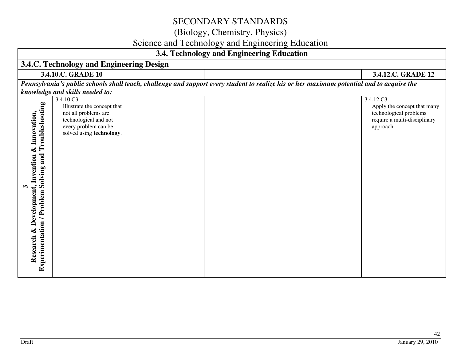### (Biology, Chemistry, Physics)

### Science and Technology and Engineering Education

| 3.4. Technology and Engineering Education                                                                         |                                                                                                                                                |  |  |                                                                                                                                           |                                                                                                                  |  |
|-------------------------------------------------------------------------------------------------------------------|------------------------------------------------------------------------------------------------------------------------------------------------|--|--|-------------------------------------------------------------------------------------------------------------------------------------------|------------------------------------------------------------------------------------------------------------------|--|
|                                                                                                                   | 3.4.C. Technology and Engineering Design                                                                                                       |  |  |                                                                                                                                           |                                                                                                                  |  |
|                                                                                                                   | 3.4.10.C. GRADE 10                                                                                                                             |  |  |                                                                                                                                           | 3.4.12.C. GRADE 12                                                                                               |  |
|                                                                                                                   |                                                                                                                                                |  |  | Pennsylvania's public schools shall teach, challenge and support every student to realize his or her maximum potential and to acquire the |                                                                                                                  |  |
|                                                                                                                   | knowledge and skills needed to:                                                                                                                |  |  |                                                                                                                                           |                                                                                                                  |  |
| Experimentation / Problem Solving and Troubleshooting<br>& Innovation,<br>Invention<br>& Development,<br>Research | 3.4.10.C3.<br>Illustrate the concept that<br>not all problems are<br>technological and not<br>every problem can be<br>solved using technology. |  |  |                                                                                                                                           | 3.4.12.C3.<br>Apply the concept that many<br>technological problems<br>require a multi-disciplinary<br>approach. |  |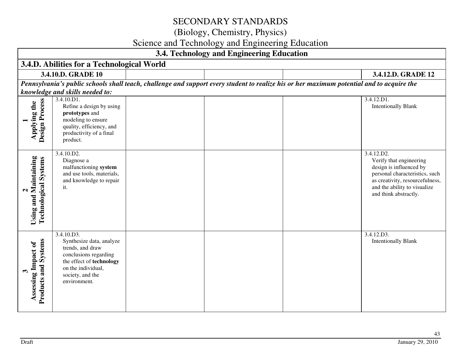# (Biology, Chemistry, Physics)

# Science and Technology and Engineering Education

| 3.4. Technology and Engineering Education                                         |                                                                                                                                                                           |  |  |                                                                                                                                           |                                                                                                                                                                                                |
|-----------------------------------------------------------------------------------|---------------------------------------------------------------------------------------------------------------------------------------------------------------------------|--|--|-------------------------------------------------------------------------------------------------------------------------------------------|------------------------------------------------------------------------------------------------------------------------------------------------------------------------------------------------|
|                                                                                   | 3.4.D. Abilities for a Technological World                                                                                                                                |  |  |                                                                                                                                           |                                                                                                                                                                                                |
|                                                                                   | 3.4.10.D. GRADE 10<br>3.4.12.D. GRADE 12                                                                                                                                  |  |  |                                                                                                                                           |                                                                                                                                                                                                |
|                                                                                   |                                                                                                                                                                           |  |  | Pennsylvania's public schools shall teach, challenge and support every student to realize his or her maximum potential and to acquire the |                                                                                                                                                                                                |
|                                                                                   | knowledge and skills needed to:<br>3.4.10.D1.                                                                                                                             |  |  |                                                                                                                                           | 3.4.12.D1.                                                                                                                                                                                     |
| Design Process<br>Applying the                                                    | Refine a design by using<br>prototypes and<br>modeling to ensure<br>quality, efficiency, and<br>productivity of a final<br>product.                                       |  |  |                                                                                                                                           | <b>Intentionally Blank</b>                                                                                                                                                                     |
| Maintaining<br><b>Technological Systems</b><br>$\mathbf{\mathsf{N}}$<br>Using and | 3.4.10.D2.<br>Diagnose a<br>malfunctioning system<br>and use tools, materials,<br>and knowledge to repair<br>it.                                                          |  |  |                                                                                                                                           | 3.4.12.D2.<br>Verify that engineering<br>design is influenced by<br>personal characteristics, such<br>as creativity, resourcefulness,<br>and the ability to visualize<br>and think abstractly. |
| <b>Systems</b><br>Assessing Impact of<br>Products and<br>$\boldsymbol{\omega}$    | 3.4.10.D3.<br>Synthesize data, analyze<br>trends, and draw<br>conclusions regarding<br>the effect of technology<br>on the individual,<br>society, and the<br>environment. |  |  |                                                                                                                                           | 3.4.12.D3.<br><b>Intentionally Blank</b>                                                                                                                                                       |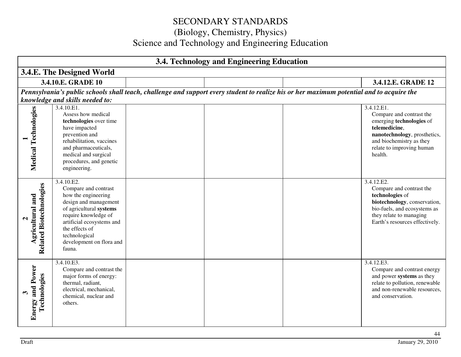| 3.4. Technology and Engineering Education                               |                                                                                                                                                                                                                                             |  |  |                                                                                                                                           |                                                                                                                                                                                         |
|-------------------------------------------------------------------------|---------------------------------------------------------------------------------------------------------------------------------------------------------------------------------------------------------------------------------------------|--|--|-------------------------------------------------------------------------------------------------------------------------------------------|-----------------------------------------------------------------------------------------------------------------------------------------------------------------------------------------|
|                                                                         | 3.4.E. The Designed World                                                                                                                                                                                                                   |  |  |                                                                                                                                           |                                                                                                                                                                                         |
|                                                                         | 3.4.10.E. GRADE 10                                                                                                                                                                                                                          |  |  |                                                                                                                                           | 3.4.12.E. GRADE 12                                                                                                                                                                      |
|                                                                         |                                                                                                                                                                                                                                             |  |  | Pennsylvania's public schools shall teach, challenge and support every student to realize his or her maximum potential and to acquire the |                                                                                                                                                                                         |
|                                                                         | knowledge and skills needed to:                                                                                                                                                                                                             |  |  |                                                                                                                                           |                                                                                                                                                                                         |
| Medical Technologies                                                    | 3.4.10.E1.<br>Assess how medical<br>technologies over time<br>have impacted<br>prevention and<br>rehabilitation, vaccines<br>and pharmaceuticals,<br>medical and surgical<br>procedures, and genetic<br>engineering.                        |  |  |                                                                                                                                           | 3.4.12.E1.<br>Compare and contrast the<br>emerging technologies of<br>telemedicine,<br>nanotechnology, prosthetics,<br>and biochemistry as they<br>relate to improving human<br>health. |
| <b>Related Biotechnologies</b><br>Agricultural and<br>$\mathbf{\Omega}$ | 3.4.10.E2.<br>Compare and contrast<br>how the engineering<br>design and management<br>of agricultural systems<br>require knowledge of<br>artificial ecosystems and<br>the effects of<br>technological<br>development on flora and<br>fauna. |  |  |                                                                                                                                           | 3.4.12.E2.<br>Compare and contrast the<br>technologies of<br>biotechnology, conservation,<br>bio-fuels, and ecosystems as<br>they relate to managing<br>Earth's resources effectively.  |
| and Power<br>Technologies<br>Energy                                     | 3.4.10.E3.<br>Compare and contrast the<br>major forms of energy:<br>thermal, radiant,<br>electrical, mechanical,<br>chemical, nuclear and<br>others.                                                                                        |  |  |                                                                                                                                           | 3.4.12.E3.<br>Compare and contrast energy<br>and power systems as they<br>relate to pollution, renewable<br>and non-renewable resources,<br>and conservation.                           |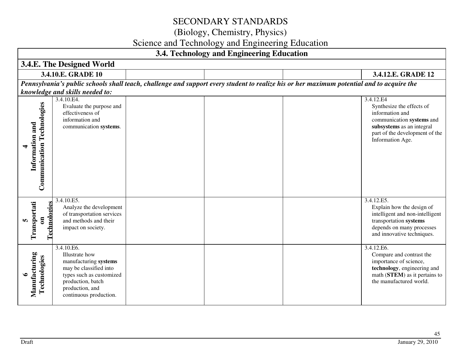### (Biology, Chemistry, Physics)

# Science and Technology and Engineering Education

| 3.4. Technology and Engineering Education                    |                                                                                                                                                                               |  |  |                                                                                                                                           |                                                                                                                                                                 |
|--------------------------------------------------------------|-------------------------------------------------------------------------------------------------------------------------------------------------------------------------------|--|--|-------------------------------------------------------------------------------------------------------------------------------------------|-----------------------------------------------------------------------------------------------------------------------------------------------------------------|
|                                                              | 3.4.E. The Designed World                                                                                                                                                     |  |  |                                                                                                                                           |                                                                                                                                                                 |
|                                                              | 3.4.10.E. GRADE 10<br>3.4.12.E. GRADE 12                                                                                                                                      |  |  |                                                                                                                                           |                                                                                                                                                                 |
|                                                              |                                                                                                                                                                               |  |  | Pennsylvania's public schools shall teach, challenge and support every student to realize his or her maximum potential and to acquire the |                                                                                                                                                                 |
|                                                              | knowledge and skills needed to:<br>3.4.10.E4.<br>Evaluate the purpose and                                                                                                     |  |  |                                                                                                                                           | 3.4.12.E4<br>Synthesize the effects of                                                                                                                          |
| <b>Communication Technologies</b><br>Information and         | effectiveness of<br>information and<br>communication systems.                                                                                                                 |  |  |                                                                                                                                           | information and<br>communication systems and<br>subsystems as an integral<br>part of the development of the<br>Information Age.                                 |
| Technologies<br>Transportati<br>$\overline{\mathbf{g}}$<br>m | 3.4.10.E5.<br>Analyze the development<br>of transportation services<br>and methods and their<br>impact on society.                                                            |  |  |                                                                                                                                           | 3.4.12.E5.<br>Explain how the design of<br>intelligent and non-intelligent<br>transportation systems<br>depends on many processes<br>and innovative techniques. |
| Manufacturing<br>Technologies<br>$\bullet$                   | 3.4.10.E6.<br>Illustrate how<br>manufacturing systems<br>may be classified into<br>types such as customized<br>production, batch<br>production, and<br>continuous production. |  |  |                                                                                                                                           | 3.4.12.E6.<br>Compare and contrast the<br>importance of science,<br>technology, engineering and<br>math (STEM) as it pertains to<br>the manufactured world.     |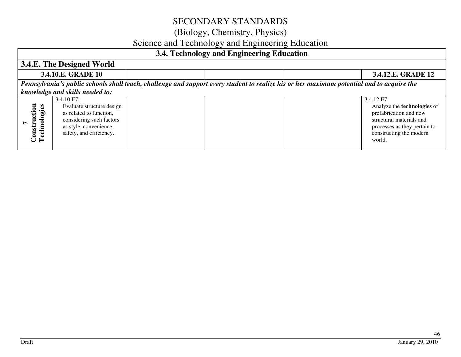### (Biology, Chemistry, Physics)

# Science and Technology and Engineering Education

### **3.4. Technology and Engineering Education**

| of it a connoingly with Engineering Eugenement                                                                                            |                                                                                                                                                     |  |  |                                                                                                                                                                             |
|-------------------------------------------------------------------------------------------------------------------------------------------|-----------------------------------------------------------------------------------------------------------------------------------------------------|--|--|-----------------------------------------------------------------------------------------------------------------------------------------------------------------------------|
| 3.4.E. The Designed World                                                                                                                 |                                                                                                                                                     |  |  |                                                                                                                                                                             |
| 3.4.10.E. GRADE 10                                                                                                                        |                                                                                                                                                     |  |  | 3.4.12.E. GRADE 12                                                                                                                                                          |
| Pennsylvania's public schools shall teach, challenge and support every student to realize his or her maximum potential and to acquire the |                                                                                                                                                     |  |  |                                                                                                                                                                             |
| knowledge and skills needed to:                                                                                                           |                                                                                                                                                     |  |  |                                                                                                                                                                             |
| ction<br>nologies<br>∼<br>onstr<br>Const<br>Techn                                                                                         | 3.4.10.E7.<br>Evaluate structure design<br>as related to function,<br>considering such factors<br>as style, convenience,<br>safety, and efficiency. |  |  | 3.4.12.E7.<br>Analyze the <b>technologies</b> of<br>prefabrication and new<br>structural materials and<br>processes as they pertain to<br>constructing the modern<br>world. |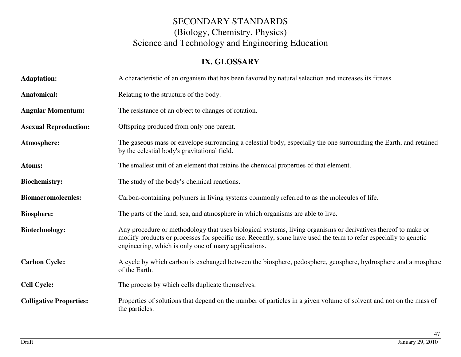### **IX. GLOSSARY**

| <b>Adaptation:</b>             | A characteristic of an organism that has been favored by natural selection and increases its fitness.                                                                                                                                                                                    |
|--------------------------------|------------------------------------------------------------------------------------------------------------------------------------------------------------------------------------------------------------------------------------------------------------------------------------------|
| Anatomical:                    | Relating to the structure of the body.                                                                                                                                                                                                                                                   |
| <b>Angular Momentum:</b>       | The resistance of an object to changes of rotation.                                                                                                                                                                                                                                      |
| <b>Asexual Reproduction:</b>   | Offspring produced from only one parent.                                                                                                                                                                                                                                                 |
| Atmosphere:                    | The gaseous mass or envelope surrounding a celestial body, especially the one surrounding the Earth, and retained<br>by the celestial body's gravitational field.                                                                                                                        |
| Atoms:                         | The smallest unit of an element that retains the chemical properties of that element.                                                                                                                                                                                                    |
| <b>Biochemistry:</b>           | The study of the body's chemical reactions.                                                                                                                                                                                                                                              |
| <b>Biomacromolecules:</b>      | Carbon-containing polymers in living systems commonly referred to as the molecules of life.                                                                                                                                                                                              |
| <b>Biosphere:</b>              | The parts of the land, sea, and atmosphere in which organisms are able to live.                                                                                                                                                                                                          |
| <b>Biotechnology:</b>          | Any procedure or methodology that uses biological systems, living organisms or derivatives thereof to make or<br>modify products or processes for specific use. Recently, some have used the term to refer especially to genetic<br>engineering, which is only one of many applications. |
| <b>Carbon Cycle:</b>           | A cycle by which carbon is exchanged between the biosphere, pedosphere, geosphere, hydrosphere and atmosphere<br>of the Earth.                                                                                                                                                           |
| <b>Cell Cycle:</b>             | The process by which cells duplicate themselves.                                                                                                                                                                                                                                         |
| <b>Colligative Properties:</b> | Properties of solutions that depend on the number of particles in a given volume of solvent and not on the mass of<br>the particles.                                                                                                                                                     |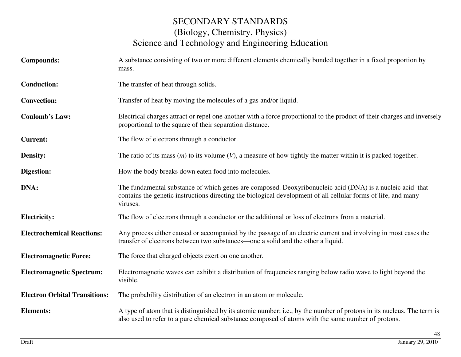| <b>Compounds:</b>                    | A substance consisting of two or more different elements chemically bonded together in a fixed proportion by<br>mass.                                                                                                                   |
|--------------------------------------|-----------------------------------------------------------------------------------------------------------------------------------------------------------------------------------------------------------------------------------------|
| <b>Conduction:</b>                   | The transfer of heat through solids.                                                                                                                                                                                                    |
| <b>Convection:</b>                   | Transfer of heat by moving the molecules of a gas and/or liquid.                                                                                                                                                                        |
| <b>Coulomb's Law:</b>                | Electrical charges attract or repel one another with a force proportional to the product of their charges and inversely<br>proportional to the square of their separation distance.                                                     |
| <b>Current:</b>                      | The flow of electrons through a conductor.                                                                                                                                                                                              |
| Density:                             | The ratio of its mass $(m)$ to its volume $(V)$ , a measure of how tightly the matter within it is packed together.                                                                                                                     |
| Digestion:                           | How the body breaks down eaten food into molecules.                                                                                                                                                                                     |
| DNA:                                 | The fundamental substance of which genes are composed. Deoxyribonucleic acid (DNA) is a nucleic acid that<br>contains the genetic instructions directing the biological development of all cellular forms of life, and many<br>viruses. |
| <b>Electricity:</b>                  | The flow of electrons through a conductor or the additional or loss of electrons from a material.                                                                                                                                       |
| <b>Electrochemical Reactions:</b>    | Any process either caused or accompanied by the passage of an electric current and involving in most cases the<br>transfer of electrons between two substances—one a solid and the other a liquid.                                      |
| <b>Electromagnetic Force:</b>        | The force that charged objects exert on one another.                                                                                                                                                                                    |
| <b>Electromagnetic Spectrum:</b>     | Electromagnetic waves can exhibit a distribution of frequencies ranging below radio wave to light beyond the<br>visible.                                                                                                                |
| <b>Electron Orbital Transitions:</b> | The probability distribution of an electron in an atom or molecule.                                                                                                                                                                     |
| <b>Elements:</b>                     | A type of atom that is distinguished by its atomic number; i.e., by the number of protons in its nucleus. The term is<br>also used to refer to a pure chemical substance composed of atoms with the same number of protons.             |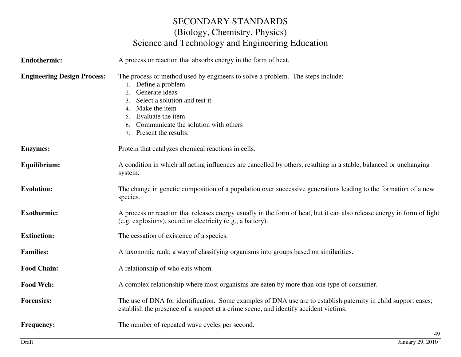| <b>Endothermic:</b>                | A process or reaction that absorbs energy in the form of heat.                                                                                                                                                                                                                      |  |
|------------------------------------|-------------------------------------------------------------------------------------------------------------------------------------------------------------------------------------------------------------------------------------------------------------------------------------|--|
| <b>Engineering Design Process:</b> | The process or method used by engineers to solve a problem. The steps include:<br>1. Define a problem<br>Generate ideas<br>2.<br>Select a solution and test it<br>3.<br>4. Make the item<br>5. Evaluate the item<br>Communicate the solution with others<br>7. Present the results. |  |
| <b>Enzymes:</b>                    | Protein that catalyzes chemical reactions in cells.                                                                                                                                                                                                                                 |  |
| Equilibrium:                       | A condition in which all acting influences are cancelled by others, resulting in a stable, balanced or unchanging<br>system.                                                                                                                                                        |  |
| <b>Evolution:</b>                  | The change in genetic composition of a population over successive generations leading to the formation of a new<br>species.                                                                                                                                                         |  |
| <b>Exothermic:</b>                 | A process or reaction that releases energy usually in the form of heat, but it can also release energy in form of light<br>(e.g. explosions), sound or electricity (e.g., a battery).                                                                                               |  |
| <b>Extinction:</b>                 | The cessation of existence of a species.                                                                                                                                                                                                                                            |  |
| <b>Families:</b>                   | A taxonomic rank; a way of classifying organisms into groups based on similarities.                                                                                                                                                                                                 |  |
| <b>Food Chain:</b>                 | A relationship of who eats whom.                                                                                                                                                                                                                                                    |  |
| <b>Food Web:</b>                   | A complex relationship where most organisms are eaten by more than one type of consumer.                                                                                                                                                                                            |  |
| <b>Forensics:</b>                  | The use of DNA for identification. Some examples of DNA use are to establish paternity in child support cases;<br>establish the presence of a suspect at a crime scene, and identify accident victims.                                                                              |  |
| <b>Frequency:</b>                  | The number of repeated wave cycles per second.<br>49                                                                                                                                                                                                                                |  |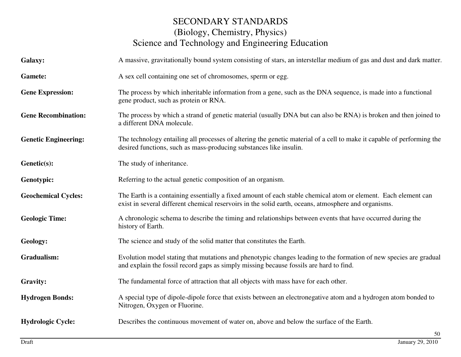| <b>Galaxy:</b>              | A massive, gravitationally bound system consisting of stars, an interstellar medium of gas and dust and dark matter.                                                                                                   |
|-----------------------------|------------------------------------------------------------------------------------------------------------------------------------------------------------------------------------------------------------------------|
| <b>Gamete:</b>              | A sex cell containing one set of chromosomes, sperm or egg.                                                                                                                                                            |
| <b>Gene Expression:</b>     | The process by which inheritable information from a gene, such as the DNA sequence, is made into a functional<br>gene product, such as protein or RNA.                                                                 |
| <b>Gene Recombination:</b>  | The process by which a strand of genetic material (usually DNA but can also be RNA) is broken and then joined to<br>a different DNA molecule.                                                                          |
| <b>Genetic Engineering:</b> | The technology entailing all processes of altering the genetic material of a cell to make it capable of performing the<br>desired functions, such as mass-producing substances like insulin.                           |
| Genetic(s):                 | The study of inheritance.                                                                                                                                                                                              |
| Genotypic:                  | Referring to the actual genetic composition of an organism.                                                                                                                                                            |
| <b>Geochemical Cycles:</b>  | The Earth is a containing essentially a fixed amount of each stable chemical atom or element. Each element can<br>exist in several different chemical reservoirs in the solid earth, oceans, atmosphere and organisms. |
| <b>Geologic Time:</b>       | A chronologic schema to describe the timing and relationships between events that have occurred during the<br>history of Earth.                                                                                        |
| Geology:                    | The science and study of the solid matter that constitutes the Earth.                                                                                                                                                  |
| Gradualism:                 | Evolution model stating that mutations and phenotypic changes leading to the formation of new species are gradual<br>and explain the fossil record gaps as simply missing because fossils are hard to find.            |
| <b>Gravity:</b>             | The fundamental force of attraction that all objects with mass have for each other.                                                                                                                                    |
| <b>Hydrogen Bonds:</b>      | A special type of dipole-dipole force that exists between an electronegative atom and a hydrogen atom bonded to<br>Nitrogen, Oxygen or Fluorine.                                                                       |
| <b>Hydrologic Cycle:</b>    | Describes the continuous movement of water on, above and below the surface of the Earth.                                                                                                                               |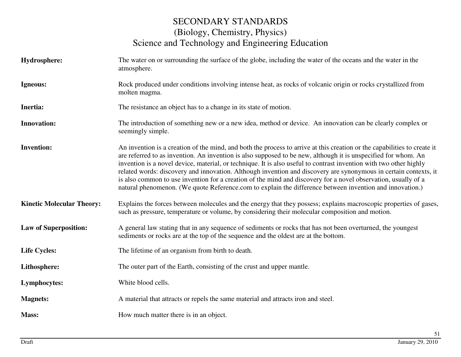| Hydrosphere:                     | The water on or surrounding the surface of the globe, including the water of the oceans and the water in the<br>atmosphere.                                                                                                                                                                                                                                                                                                                                                                                                                                                                                                                                                                                        |
|----------------------------------|--------------------------------------------------------------------------------------------------------------------------------------------------------------------------------------------------------------------------------------------------------------------------------------------------------------------------------------------------------------------------------------------------------------------------------------------------------------------------------------------------------------------------------------------------------------------------------------------------------------------------------------------------------------------------------------------------------------------|
| Igneous:                         | Rock produced under conditions involving intense heat, as rocks of volcanic origin or rocks crystallized from<br>molten magma.                                                                                                                                                                                                                                                                                                                                                                                                                                                                                                                                                                                     |
| Inertia:                         | The resistance an object has to a change in its state of motion.                                                                                                                                                                                                                                                                                                                                                                                                                                                                                                                                                                                                                                                   |
| <b>Innovation:</b>               | The introduction of something new or a new idea, method or device. An innovation can be clearly complex or<br>seemingly simple.                                                                                                                                                                                                                                                                                                                                                                                                                                                                                                                                                                                    |
| <b>Invention:</b>                | An invention is a creation of the mind, and both the process to arrive at this creation or the capabilities to create it<br>are referred to as invention. An invention is also supposed to be new, although it is unspecified for whom. An<br>invention is a novel device, material, or technique. It is also useful to contrast invention with two other highly<br>related words: discovery and innovation. Although invention and discovery are synonymous in certain contexts, it<br>is also common to use invention for a creation of the mind and discovery for a novel observation, usually of a<br>natural phenomenon. (We quote Reference.com to explain the difference between invention and innovation.) |
| <b>Kinetic Molecular Theory:</b> | Explains the forces between molecules and the energy that they possess; explains macroscopic properties of gases,<br>such as pressure, temperature or volume, by considering their molecular composition and motion.                                                                                                                                                                                                                                                                                                                                                                                                                                                                                               |
| <b>Law of Superposition:</b>     | A general law stating that in any sequence of sediments or rocks that has not been overturned, the youngest<br>sediments or rocks are at the top of the sequence and the oldest are at the bottom.                                                                                                                                                                                                                                                                                                                                                                                                                                                                                                                 |
| <b>Life Cycles:</b>              | The lifetime of an organism from birth to death.                                                                                                                                                                                                                                                                                                                                                                                                                                                                                                                                                                                                                                                                   |
| Lithosphere:                     | The outer part of the Earth, consisting of the crust and upper mantle.                                                                                                                                                                                                                                                                                                                                                                                                                                                                                                                                                                                                                                             |
| Lymphocytes:                     | White blood cells.                                                                                                                                                                                                                                                                                                                                                                                                                                                                                                                                                                                                                                                                                                 |
| <b>Magnets:</b>                  | A material that attracts or repels the same material and attracts iron and steel.                                                                                                                                                                                                                                                                                                                                                                                                                                                                                                                                                                                                                                  |
| Mass:                            | How much matter there is in an object.                                                                                                                                                                                                                                                                                                                                                                                                                                                                                                                                                                                                                                                                             |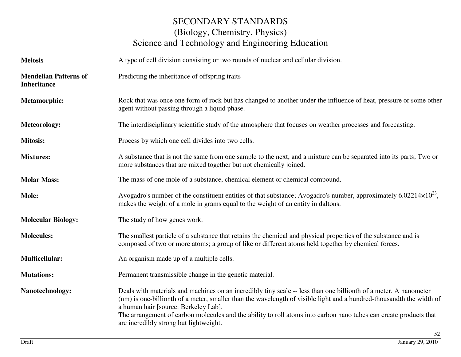| <b>Meiosis</b>                                     | A type of cell division consisting or two rounds of nuclear and cellular division.                                                                                                                                                                                                                                                                                                                                                              |
|----------------------------------------------------|-------------------------------------------------------------------------------------------------------------------------------------------------------------------------------------------------------------------------------------------------------------------------------------------------------------------------------------------------------------------------------------------------------------------------------------------------|
| <b>Mendelian Patterns of</b><br><b>Inheritance</b> | Predicting the inheritance of offspring traits                                                                                                                                                                                                                                                                                                                                                                                                  |
| <b>Metamorphic:</b>                                | Rock that was once one form of rock but has changed to another under the influence of heat, pressure or some other<br>agent without passing through a liquid phase.                                                                                                                                                                                                                                                                             |
| Meteorology:                                       | The interdisciplinary scientific study of the atmosphere that focuses on weather processes and forecasting.                                                                                                                                                                                                                                                                                                                                     |
| <b>Mitosis:</b>                                    | Process by which one cell divides into two cells.                                                                                                                                                                                                                                                                                                                                                                                               |
| <b>Mixtures:</b>                                   | A substance that is not the same from one sample to the next, and a mixture can be separated into its parts; Two or<br>more substances that are mixed together but not chemically joined.                                                                                                                                                                                                                                                       |
| <b>Molar Mass:</b>                                 | The mass of one mole of a substance, chemical element or chemical compound.                                                                                                                                                                                                                                                                                                                                                                     |
| <b>Mole:</b>                                       | Avogadro's number of the constituent entities of that substance; Avogadro's number, approximately $6.02214\times10^{23}$ ,<br>makes the weight of a mole in grams equal to the weight of an entity in daltons.                                                                                                                                                                                                                                  |
| <b>Molecular Biology:</b>                          | The study of how genes work.                                                                                                                                                                                                                                                                                                                                                                                                                    |
| <b>Molecules:</b>                                  | The smallest particle of a substance that retains the chemical and physical properties of the substance and is<br>composed of two or more atoms; a group of like or different atoms held together by chemical forces.                                                                                                                                                                                                                           |
| <b>Multicellular:</b>                              | An organism made up of a multiple cells.                                                                                                                                                                                                                                                                                                                                                                                                        |
| <b>Mutations:</b>                                  | Permanent transmissible change in the genetic material.                                                                                                                                                                                                                                                                                                                                                                                         |
| Nanotechnology:                                    | Deals with materials and machines on an incredibly tiny scale -- less than one billionth of a meter. A nanometer<br>(nm) is one-billionth of a meter, smaller than the wavelength of visible light and a hundred-thousandth the width of<br>a human hair [source: Berkeley Lab].<br>The arrangement of carbon molecules and the ability to roll atoms into carbon nano tubes can create products that<br>are incredibly strong but lightweight. |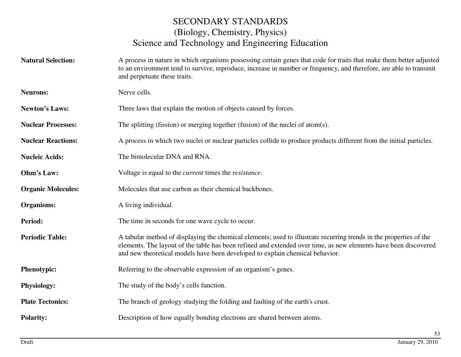**Natural Selection:** A process in nature in which organisms possessing certain genes that code for traits that make them better adjusted to an environment tend to survive, reproduce, increase in number or frequency, and therefore, are able to transmit and perpetuate these traits. **Neurons:** Nerve cells. **Newton's Laws:** Three laws that explain the motion of objects caused by forces. **Nuclear Processes:** The splitting (fission) or merging together (fusion) of the nuclei of atom(s). **Nuclear Reactions:** A process in which two nuclei or nuclear particles collide to produce products different from the initial particles. **Nucleic Acids:** The bimolecular DNA and RNA. **Ohm's Law:** Voltage is equal to the *current* times the *resistance*. **Organic Molecules:** Molecules that use carbon as their chemical backbones. **Organisms:** A living individual. **Period:** The time in seconds for one wave cycle to occur. **Periodic Table:** A tabular method of displaying the chemical elements; used to illustrate recurring trends in the properties of the elements. The layout of the table has been refined and extended over time, as new elements have been discovered and new theoretical models have been developed to explain chemical behavior. **Phenotypic:** Referring to the observable expression of an organism's genes. **Physiology:** The study of the body's cells function. **Plate Tectonics:** The branch of geology studying the folding and faulting of the earth's crust. **Polarity:**Description of how equally bonding electrons are shared between atoms.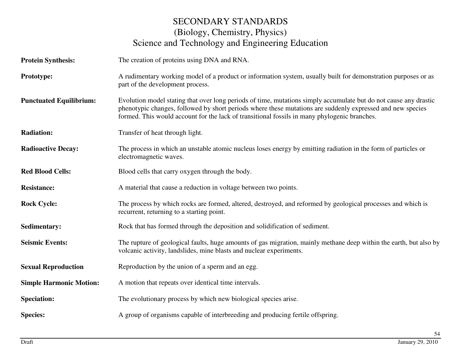| <b>Protein Synthesis:</b>      | The creation of proteins using DNA and RNA.                                                                                                                                                                                                                                                                                    |
|--------------------------------|--------------------------------------------------------------------------------------------------------------------------------------------------------------------------------------------------------------------------------------------------------------------------------------------------------------------------------|
| Prototype:                     | A rudimentary working model of a product or information system, usually built for demonstration purposes or as<br>part of the development process.                                                                                                                                                                             |
| <b>Punctuated Equilibrium:</b> | Evolution model stating that over long periods of time, mutations simply accumulate but do not cause any drastic<br>phenotypic changes, followed by short periods where these mutations are suddenly expressed and new species<br>formed. This would account for the lack of transitional fossils in many phylogenic branches. |
| <b>Radiation:</b>              | Transfer of heat through light.                                                                                                                                                                                                                                                                                                |
| <b>Radioactive Decay:</b>      | The process in which an unstable atomic nucleus loses energy by emitting radiation in the form of particles or<br>electromagnetic waves.                                                                                                                                                                                       |
| <b>Red Blood Cells:</b>        | Blood cells that carry oxygen through the body.                                                                                                                                                                                                                                                                                |
| <b>Resistance:</b>             | A material that cause a reduction in voltage between two points.                                                                                                                                                                                                                                                               |
| <b>Rock Cycle:</b>             | The process by which rocks are formed, altered, destroyed, and reformed by geological processes and which is<br>recurrent, returning to a starting point.                                                                                                                                                                      |
| <b>Sedimentary:</b>            | Rock that has formed through the deposition and solidification of sediment.                                                                                                                                                                                                                                                    |
| <b>Seismic Events:</b>         | The rupture of geological faults, huge amounts of gas migration, mainly methane deep within the earth, but also by<br>volcanic activity, landslides, mine blasts and nuclear experiments.                                                                                                                                      |
| <b>Sexual Reproduction</b>     | Reproduction by the union of a sperm and an egg.                                                                                                                                                                                                                                                                               |
| <b>Simple Harmonic Motion:</b> | A motion that repeats over identical time intervals.                                                                                                                                                                                                                                                                           |
| <b>Speciation:</b>             | The evolutionary process by which new biological species arise.                                                                                                                                                                                                                                                                |
| <b>Species:</b>                | A group of organisms capable of interbreeding and producing fertile offspring.                                                                                                                                                                                                                                                 |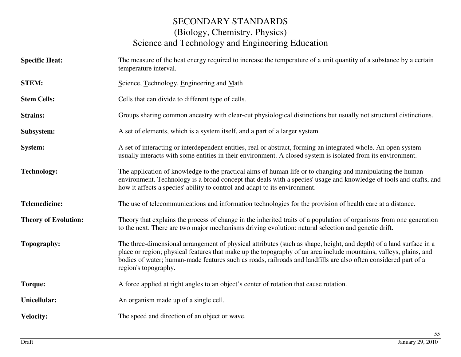- **Specific Heat:** The measure of the heat energy required to increase the temperature of a unit quantity of a substance by a certain temperature interval.
- **STEM:** Science, Technology, Engineering and Math
- **Stem Cells:**Cells that can divide to different type of cells.
- **Strains:** Groups sharing common ancestry with clear-cut physiological distinctions but usually not structural distinctions.
- **Subsystem:** A set of elements, which is a system itself, and a part of a larger system.
- **System:** A set of interacting or interdependent entities, real or abstract, forming an integrated whole. An open system usually interacts with some entities in their environment. A closed system is isolated from its environment.
- **Technology:** The application of knowledge to the practical aims of human life or to changing and manipulating the human environment. Technology is a broad concept that deals with a species' usage and knowledge of tools and crafts, and how it affects a species' ability to control and adapt to its environment.
- **Telemedicine:** The use of telecommunications and information technologies for the provision of health care at a distance.
- **Theory of Evolution:** Theory that explains the process of change in the inherited traits of a population of organisms from one generation to the next. There are two major mechanisms driving evolution: natural selection and genetic drift.
- **Topography:** The three-dimensional arrangement of physical attributes (such as shape, height, and depth) of a land surface in a place or region; physical features that make up the topography of an area include mountains, valleys, plains, and bodies of water; human-made features such as roads, railroads and landfills are also often considered part of a region's topography.
- **Torque:** A force applied at right angles to an object's center of rotation that cause rotation.
- **Unicellular:**An organism made up of a single cell.
- **Velocity:**The speed and direction of an object or wave.